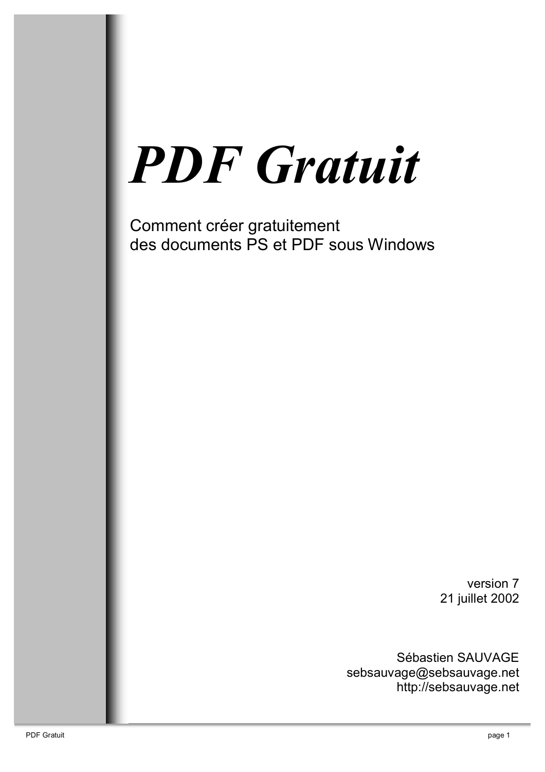# **PDF** Gratuit

Comment créer gratuitement des documents PS et PDF sous Windows

> version 7 21 juillet 2002

Sébastien SAUVAGE sebsauvage@sebsauvage.net http://sebsauvage.net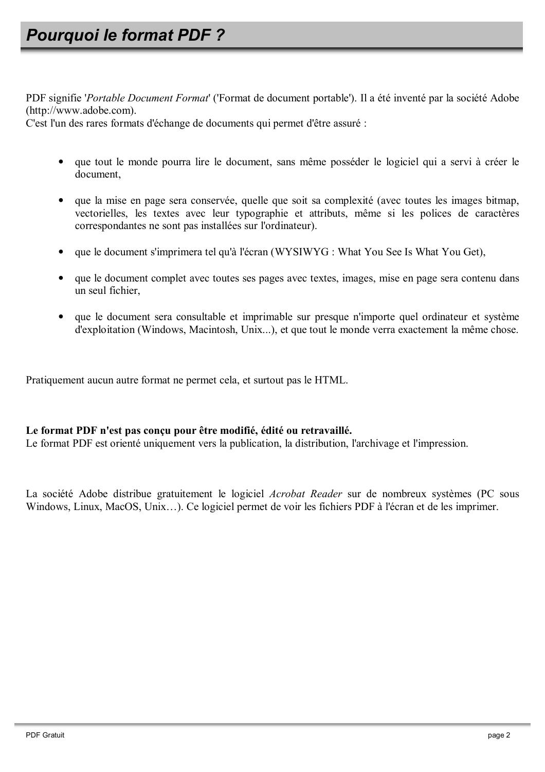PDF signifie '*Portable Document Format*' ('Format de document portable'). Il a été inventé par la société Adobe (http://www.adobe.com).

C'est l'un des rares formats d'échange de documents qui permet d'être assuré :

- que tout le monde pourra lire le document, sans même posséder le logiciel qui a servi à créer le document,
- que la mise en page sera conservée, quelle que soit sa complexité (avec toutes les images bitmap, vectorielles, les textes avec leur typographie et attributs, même si les polices de caractères correspondantes ne sont pas installées sur l'ordinateur).
- que le document s'imprimera tel qu'à l'écran (WYSIWYG : What You See Is What You Get),
- que le document complet avec toutes ses pages avec textes, images, mise en page sera contenu dans un seul fichier.
- que le document sera consultable et imprimable sur presque n'importe quel ordinateur et système d'exploitation (Windows, Macintosh, Unix...), et que tout le monde verra exactement la même chose.

Pratiquement aucun autre format ne permet cela, et surtout pas le HTML.

#### Le format PDF n'est pas concu pour être modifié, édité ou retravaillé.

Le format PDF est orienté uniquement vers la publication, la distribution, l'archivage et l'impression.

La société Adobe distribue gratuitement le logiciel Acrobat Reader sur de nombreux systèmes (PC sous Windows, Linux, MacOS, Unix...). Ce logiciel permet de voir les fichiers PDF à l'écran et de les imprimer.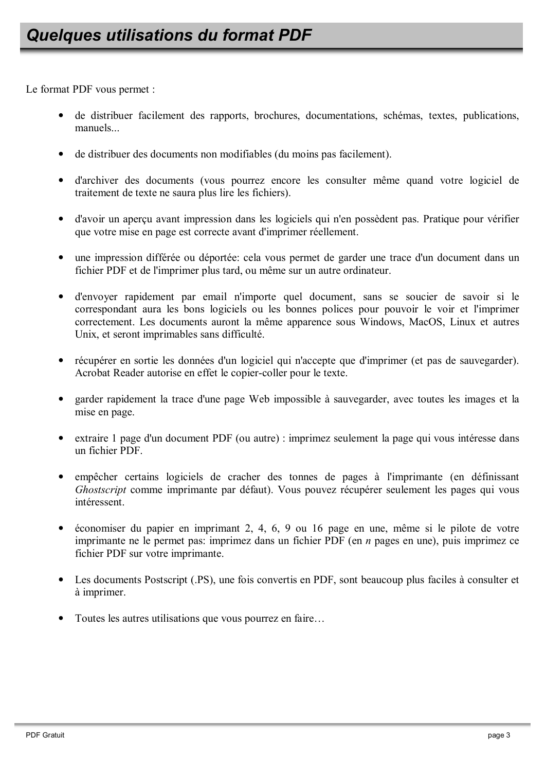Le format PDF vous permet :

- de distribuer facilement des rapports, brochures, documentations, schémas, textes, publications, manuels
- de distribuer des documents non modifiables (du moins pas facilement).
- d'archiver des documents (vous pourrez encore les consulter même quand votre logiciel de traitement de texte ne saura plus lire les fichiers).
- d'avoir un aperçu avant impression dans les logiciels qui n'en possèdent pas. Pratique pour vérifier que votre mise en page est correcte avant d'imprimer réellement.
- une impression différée ou déportée: cela vous permet de garder une trace d'un document dans un fichier PDF et de l'imprimer plus tard, ou même sur un autre ordinateur.
- · d'envoyer rapidement par email n'importe quel document, sans se soucier de savoir si le correspondant aura les bons logiciels ou les bonnes polices pour pouvoir le voir et l'imprimer correctement. Les documents auront la même apparence sous Windows, MacOS, Linux et autres Unix, et seront imprimables sans difficulté.
- récupérer en sortie les données d'un logiciel qui n'accepte que d'imprimer (et pas de sauvegarder). Acrobat Reader autorise en effet le copier-coller pour le texte.
- garder rapidement la trace d'une page Web impossible à sauvegarder, avec toutes les images et la mise en page.
- extraire 1 page d'un document PDF (ou autre) : imprimez seulement la page qui vous intéresse dans un fichier PDF
- empêcher certains logiciels de cracher des tonnes de pages à l'imprimante (en définissant Ghostscript comme imprimante par défaut). Vous pouvez récupérer seulement les pages qui vous intéressent
- économiser du papier en imprimant 2, 4, 6, 9 ou 16 page en une, même si le pilote de votre imprimante ne le permet pas: imprimez dans un fichier PDF (en  $n$  pages en une), puis imprimez ce fichier PDF sur votre imprimante.
- Les documents Postscript (PS), une fois convertis en PDF, sont beaucoup plus faciles à consulter et à imprimer.
- Toutes les autres utilisations que vous pourrez en faire...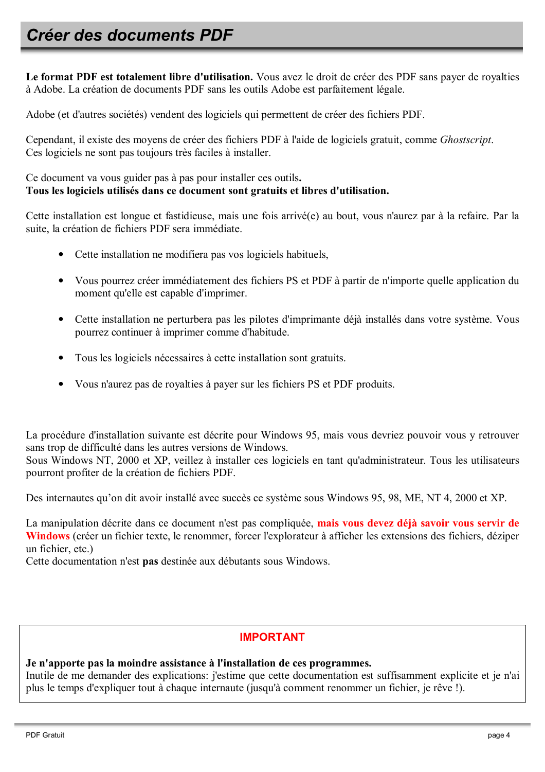## Créer des documents PDF

Le format PDF est totalement libre d'utilisation. Vous avez le droit de créer des PDF sans payer de royalties à Adobe. La création de documents PDF sans les outils Adobe est parfaitement légale.

Adobe (et d'autres sociétés) vendent des logiciels qui permettent de créer des fichiers PDF.

Cependant, il existe des moyens de créer des fichiers PDF à l'aide de logiciels gratuit, comme *Ghostscript*. Ces logiciels ne sont pas toujours très faciles à installer.

Ce document va vous guider pas à pas pour installer ces outils. Tous les logiciels utilisés dans ce document sont gratuits et libres d'utilisation.

Cette installation est longue et fastidieuse, mais une fois arrivé(e) au bout, vous n'aurez par à la refaire. Par la suite, la création de fichiers PDF sera immédiate.

- Cette installation ne modifiera pas vos logiciels habituels,
- Vous pourrez créer immédiatement des fichiers PS et PDF à partir de n'importe quelle application du moment qu'elle est capable d'imprimer.
- Cette installation ne perturbera pas les pilotes d'imprimante déjà installés dans votre système. Vous pourrez continuer à imprimer comme d'habitude.
- Tous les logiciels nécessaires à cette installation sont gratuits.
- Vous n'aurez pas de royalties à payer sur les fichiers PS et PDF produits.

La procédure d'installation suivante est décrite pour Windows 95, mais vous devriez pouvoir vous y retrouver sans trop de difficulté dans les autres versions de Windows.

Sous Windows NT, 2000 et XP, veillez à installer ces logiciels en tant qu'administrateur. Tous les utilisateurs pourront profiter de la création de fichiers PDF.

Des internautes qu'on dit avoir installé avec succès ce système sous Windows 95, 98, ME, NT 4, 2000 et XP.

La manipulation décrite dans ce document n'est pas compliquée, mais vous devez déjà savoir vous servir de Windows (créer un fichier texte, le renommer, forcer l'explorateur à afficher les extensions des fichiers, déziper un fichier etc)

Cette documentation n'est pas destinée aux débutants sous Windows.

#### **IMPORTANT**

Je n'apporte pas la moindre assistance à l'installation de ces programmes.

Inutile de me demander des explications: j'estime que cette documentation est suffisamment explicite et je n'ai plus le temps d'expliquer tout à chaque internaute (jusqu'à comment renommer un fichier, je rêve !).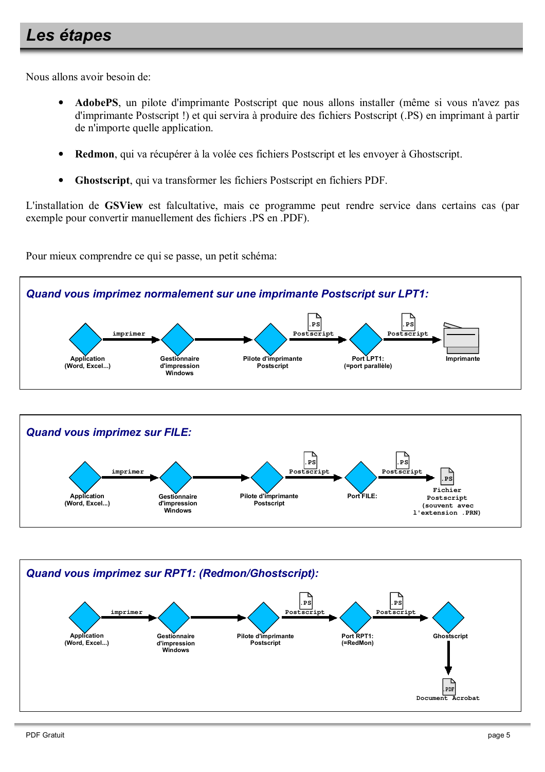## Les étapes

Nous allons avoir besoin de

- AdobePS, un pilote d'imprimante Postscript que nous allons installer (même si vous n'avez pas d'imprimante Postscript!) et qui servira à produire des fichiers Postscript (.PS) en imprimant à partir de n'importe quelle application.
- $\bullet$ Redmon, qui va récupérer à la volée ces fichiers Postscript et les envoyer à Ghostscript.
- Ghostscript, qui va transformer les fichiers Postscript en fichiers PDF.

L'installation de GSView est falcultative, mais ce programme peut rendre service dans certains cas (par exemple pour convertir manuellement des fichiers .PS en .PDF).

Pour mieux comprendre ce qui se passe, un petit schéma:



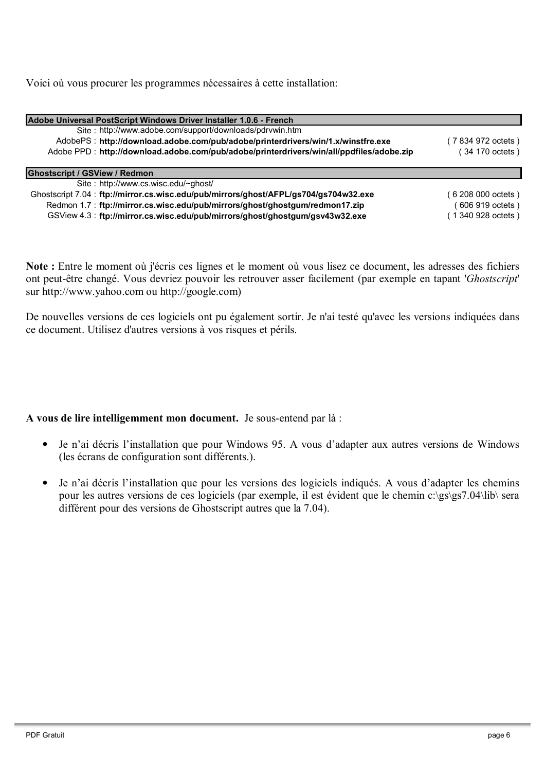Voici où vous procurer les programmes nécessaires à cette installation:

| Adobe Universal PostScript Windows Driver Installer 1.0.6 - French                       |                    |
|------------------------------------------------------------------------------------------|--------------------|
| Site: http://www.adobe.com/support/downloads/pdrvwin.htm                                 |                    |
| AdobePS: http://download.adobe.com/pub/adobe/printerdrivers/win/1.x/winstfre.exe         | (7 834 972 octets) |
| Adobe PPD: http://download.adobe.com/pub/adobe/printerdrivers/win/all/ppdfiles/adobe.zip | 34 170 octets)     |
|                                                                                          |                    |
| <b>Ghostscript / GSView / Redmon</b>                                                     |                    |
| Site: http://www.cs.wisc.edu/~ghost/                                                     |                    |
| Ghostscript 7.04: ftp://mirror.cs.wisc.edu/pub/mirrors/ghost/AFPL/gs704/gs704w32.exe     | 6 208 000 octets)  |
| Redmon 1.7: ftp://mirror.cs.wisc.edu/pub/mirrors/ghost/ghostgum/redmon17.zip             | 606 919 octets)    |
| GSView 4.3: ftp://mirror.cs.wisc.edu/pub/mirrors/ghost/ghostgum/gsv43w32.exe             | (1340 928 octets)  |

Note : Entre le moment où j'écris ces lignes et le moment où vous lisez ce document, les adresses des fichiers ont peut-être changé. Vous devriez pouvoir les retrouver asser facilement (par exemple en tapant 'Ghostscript' sur http://www.yahoo.com ou http://google.com)

De nouvelles versions de ces logiciels ont pu également sortir. Je n'ai testé qu'avec les versions indiquées dans ce document. Utilisez d'autres versions à vos risques et périls.

A vous de lire intelligemment mon document. Je sous-entend par là :

- Je n'ai décris l'installation que pour Windows 95. A vous d'adapter aux autres versions de Windows  $\bullet$ (les écrans de configuration sont différents.).
- Je n'ai décris l'installation que pour les versions des logiciels indiqués. A vous d'adapter les chemins  $\bullet$ pour les autres versions de ces logiciels (par exemple, il est évident que le chemin c:\gs\gs7.04\lib\ sera différent pour des versions de Ghostscript autres que la 7.04).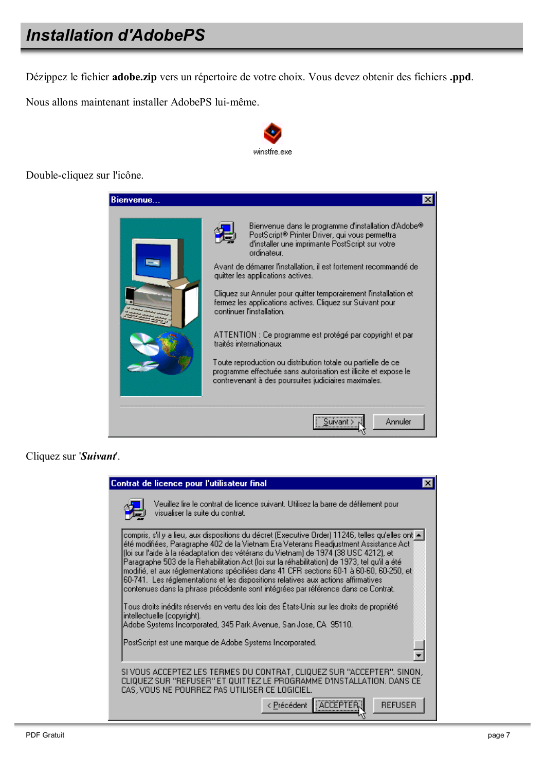## **Installation d'AdobePS**

Dézippez le fichier adobe.zip vers un répertoire de votre choix. Vous devez obtenir des fichiers .ppd.

Nous allons maintenant installer AdobePS lui-même.



Double-cliquez sur l'icône.



Cliquez sur 'Suivant'.

| Contrat de licence pour l'utilisateur final                                                                                                                                                                                                                                                                                                                                                                                                                                                                                                                                                                                                              |  |
|----------------------------------------------------------------------------------------------------------------------------------------------------------------------------------------------------------------------------------------------------------------------------------------------------------------------------------------------------------------------------------------------------------------------------------------------------------------------------------------------------------------------------------------------------------------------------------------------------------------------------------------------------------|--|
| Veuillez lire le contrat de licence suivant. Utilisez la barre de défilement pour<br>visualiser la suite du contrat.                                                                                                                                                                                                                                                                                                                                                                                                                                                                                                                                     |  |
| - compris, s'il y a lieu, aux dispositions du décret (Executive Order) 11246, telles qu'elles ont<br>été modifiées, Paragraphe 402 de la Vietnam Era Veterans Readjustment Assistance Act<br>(loi sur l'aide à la réadaptation des vétérans du Vietnam) de 1974 (38 USC 4212), et<br>Paragraphe 503 de la Rehabilitation Act (loi sur la réhabilitation) de 1973, tel qu'il a été<br>modifié, et aux réglementations spécifiées dans 41 CFR sections 60-1 à 60-60, 60-250, et<br>60-741. Les réglementations et les dispositions relatives aux actions affirmatives<br>contenues dans la phrase précédente sont intégrées par référence dans ce Contrat. |  |
| Tous droits inédits réservés en vertu des lois des États-Unis sur les droits de propriété<br>intellectuelle (copyright).<br>Adobe Systems Incorporated, 345 Park Avenue, San Jose, CA 95110.                                                                                                                                                                                                                                                                                                                                                                                                                                                             |  |
| PostScript est une marque de Adobe Systems Incorporated.                                                                                                                                                                                                                                                                                                                                                                                                                                                                                                                                                                                                 |  |
| SI VOUS ACCEPTEZ LES TERMES DU CONTRAT, CLIQUEZ SUR "ACCEPTER". SINON,<br>CLIQUEZ SUR "REFUSER" ET QUITTEZ LE PROGRAMME D'INSTALLATION. DANS CE<br>CAS, VOUS NE POURREZ PAS UTILISER CE LOGICIEL.                                                                                                                                                                                                                                                                                                                                                                                                                                                        |  |
| < Précédent<br><b>REFUSER</b>                                                                                                                                                                                                                                                                                                                                                                                                                                                                                                                                                                                                                            |  |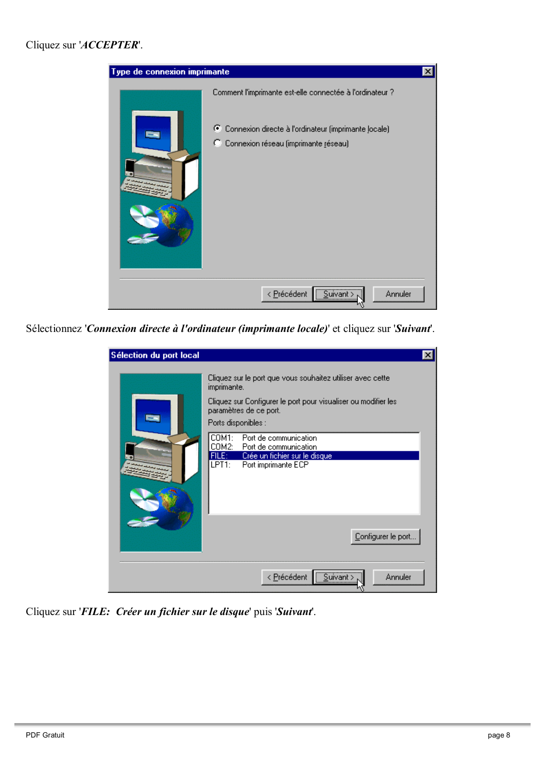#### Cliquez sur 'ACCEPTER'.



Sélectionnez 'Connexion directe à l'ordinateur (imprimante locale)' et cliquez sur 'Suivant'.

| Sélection du port local |                                                                                                                                                                                                                                                                                                                                                                                | $\boldsymbol{\mathsf{x}}$ |
|-------------------------|--------------------------------------------------------------------------------------------------------------------------------------------------------------------------------------------------------------------------------------------------------------------------------------------------------------------------------------------------------------------------------|---------------------------|
|                         | Cliquez sur le port que vous souhaitez utiliser avec cette<br>imprimante.<br>Cliquez sur Configurer le port pour visualiser ou modifier les<br>paramètres de ce port.<br>Ports disponibles :<br>COM1:<br>Port de communication<br>COM2:<br>Port de communication<br>FILE:<br>Crée un fichier sur le disque-<br>LPT <sub>1</sub> :<br>Port imprimante ECP<br>Configurer le port |                           |
|                         | Suivant > .<br>Annuler<br>< <u>P</u> récédent                                                                                                                                                                                                                                                                                                                                  |                           |

Cliquez sur 'FILE: Créer un fichier sur le disque' puis 'Suivant'.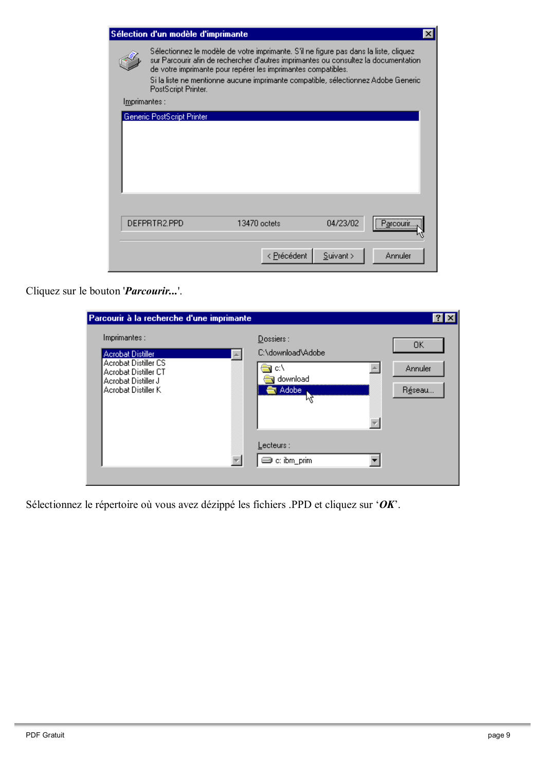|               | Sélection d'un modèle d'imprimante                                                                                                                                                                                                                                                                                                                        |                |             |              |               |
|---------------|-----------------------------------------------------------------------------------------------------------------------------------------------------------------------------------------------------------------------------------------------------------------------------------------------------------------------------------------------------------|----------------|-------------|--------------|---------------|
|               | Sélectionnez le modèle de votre imprimante. S'il ne figure pas dans la liste, cliquez<br>sur Parcourir afin de rechercher d'autres imprimantes ou consultez la documentation<br>de votre imprimante pour repérer les imprimantes compatibles.<br>Si la liste ne mentionne aucune imprimante compatible, sélectionnez Adobe Generic<br>PostScript Printer. |                |             |              |               |
| Imprimantes : |                                                                                                                                                                                                                                                                                                                                                           |                |             |              |               |
|               | Generic PostScript Printer                                                                                                                                                                                                                                                                                                                                |                |             |              |               |
|               |                                                                                                                                                                                                                                                                                                                                                           |                |             |              |               |
|               |                                                                                                                                                                                                                                                                                                                                                           |                |             |              |               |
|               |                                                                                                                                                                                                                                                                                                                                                           |                |             |              |               |
|               |                                                                                                                                                                                                                                                                                                                                                           |                |             |              |               |
|               |                                                                                                                                                                                                                                                                                                                                                           |                |             |              |               |
|               |                                                                                                                                                                                                                                                                                                                                                           |                |             |              |               |
|               |                                                                                                                                                                                                                                                                                                                                                           |                |             |              |               |
|               | DEFPRTR2.PPD                                                                                                                                                                                                                                                                                                                                              | $13470$ octets |             | 04/23/02     | <br>Parcourir |
|               |                                                                                                                                                                                                                                                                                                                                                           |                |             |              |               |
|               |                                                                                                                                                                                                                                                                                                                                                           |                |             |              |               |
|               |                                                                                                                                                                                                                                                                                                                                                           |                | < Précédent | $S$ uivant > | Annuler       |

Cliquez sur le bouton '*Parcourir...*'.

| Imprimantes:                                     | $D$ ossiers :           |         |
|--------------------------------------------------|-------------------------|---------|
|                                                  |                         | OΚ      |
| <b>Acrobat Distiller</b><br>Acrobat Distiller CS | C:\download\Adobe       |         |
| Acrobat Distiller CT                             | c۸                      | Annuler |
| Acrobat Distiller J<br>Acrobat Distiller K       | download<br>Adobe<br>Ŧ. |         |
|                                                  | μζ                      | Réseau  |
|                                                  |                         |         |
|                                                  |                         |         |
|                                                  |                         |         |
|                                                  | Lecteurs :              |         |
|                                                  | c: ibm_prim             |         |

Sélectionnez le répertoire où vous avez dézippé les fichiers .PPD et cliquez sur ' $OK$ '.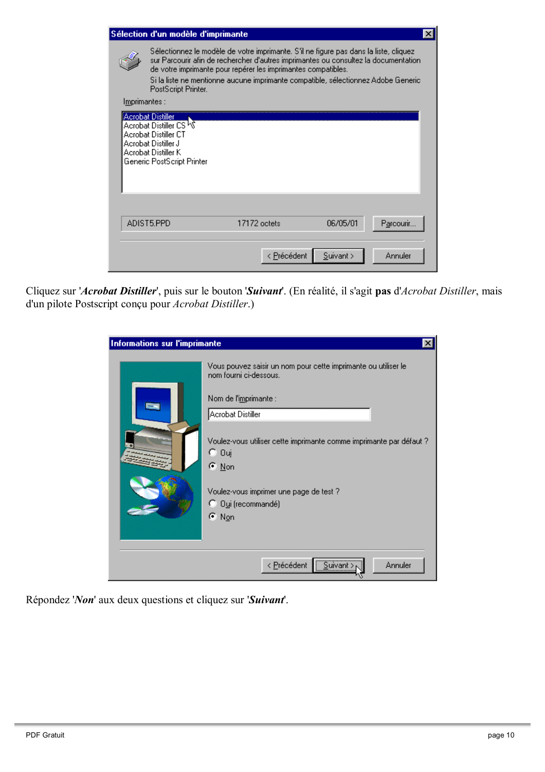|               | Sélection d'un modèle d'imprimante                                                                                                                                                                                                                                                                                                                        |              |              | $\vert x \vert$ |
|---------------|-----------------------------------------------------------------------------------------------------------------------------------------------------------------------------------------------------------------------------------------------------------------------------------------------------------------------------------------------------------|--------------|--------------|-----------------|
|               | Sélectionnez le modèle de votre imprimante. S'il ne figure pas dans la liste, cliquez<br>sur Parcourir afin de rechercher d'autres imprimantes ou consultez la documentation<br>de votre imprimante pour repérer les imprimantes compatibles.<br>Si la liste ne mentionne aucune imprimante compatible, sélectionnez Adobe Generic<br>PostScript Printer. |              |              |                 |
| Imprimantes : |                                                                                                                                                                                                                                                                                                                                                           |              |              |                 |
|               | <b>Acrobat Distiller</b><br>Acrobat Distiller CS <sup>I</sup> N<br>Acrobat Distiller CT<br>Acrobat Distiller J<br>Acrobat Distiller K<br>Generic PostScript Printer                                                                                                                                                                                       |              |              |                 |
|               | ADIST5.PPD                                                                                                                                                                                                                                                                                                                                                | 17172 octets | 06/05/01     | Parcourir.      |
|               |                                                                                                                                                                                                                                                                                                                                                           | < Précédent  | $S$ uivant > | Annuler         |

Cliquez sur 'Acrobat Distiller', puis sur le bouton 'Suivant'. (En réalité, il s'agit pas d'Acrobat Distiller, mais d'un pilote Postscript conçu pour Acrobat Distiller.)

| Informations sur l'imprimante | $\times$                                                                                                                                                                                                                                                                                                                                      |
|-------------------------------|-----------------------------------------------------------------------------------------------------------------------------------------------------------------------------------------------------------------------------------------------------------------------------------------------------------------------------------------------|
|                               | Vous pouvez saisir un nom pour cette imprimante ou utiliser le<br>nom fourni ci-dessous.<br>Nom de l'i <u>m</u> primante :<br>Acrobat Distiller<br>Voulez-vous utiliser cette imprimante comme imprimante par défaut ?<br>C Oui<br>$\sigma$ Non<br>Voulez-vous imprimer une page de test ?<br><sup>C</sup> Dui (recommandé)<br>$\epsilon$ Non |
|                               | Suivant ><br>< Précédent<br>Annuler                                                                                                                                                                                                                                                                                                           |

Répondez 'Non' aux deux questions et cliquez sur 'Suivant'.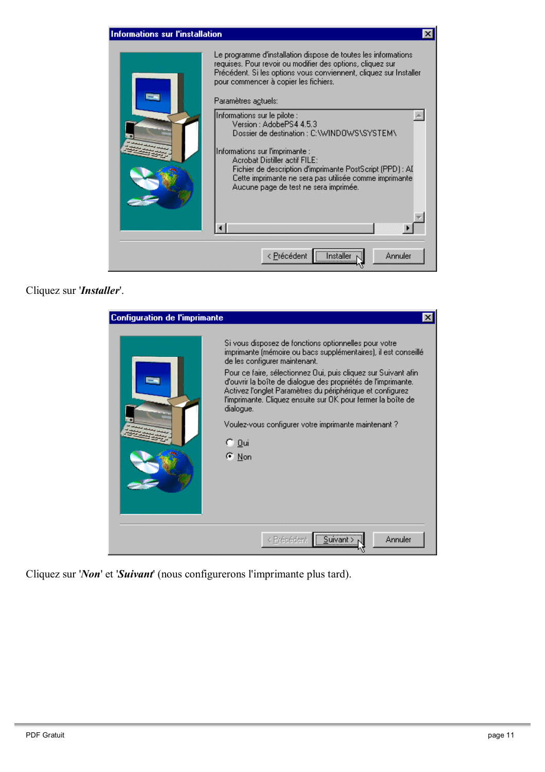

Cliquez sur 'Installer'.

| <b>Configuration de l'imprimante</b> |                                                                                                                                                                                                                                                                                                                                                                                                                                                                                                                                    |
|--------------------------------------|------------------------------------------------------------------------------------------------------------------------------------------------------------------------------------------------------------------------------------------------------------------------------------------------------------------------------------------------------------------------------------------------------------------------------------------------------------------------------------------------------------------------------------|
|                                      | Si vous disposez de fonctions optionnelles pour votre.<br>imprimante (mémoire ou bacs supplémentaires), il est conseillé.<br>de les configurer maintenant.<br>Pour ce faire, sélectionnez Qui, puis cliquez sur Suivant afini<br>d'ouvrir la boîte de dialogue des propriétés de l'imprimante.<br>Activez l'onglet Paramètres du périphérique et configurez<br>l'imprimante. Cliquez ensuite sur OK pour fermer la boîte de<br>dialogue.<br>Voulez-vous configurer votre imprimante maintenant?<br>€ <u>0</u> ui<br>$\epsilon$ Non |
|                                      | <br>Annuler<br>< Précédent<br>Suivant                                                                                                                                                                                                                                                                                                                                                                                                                                                                                              |

Cliquez sur 'Non' et 'Suivant' (nous configurerons l'imprimante plus tard).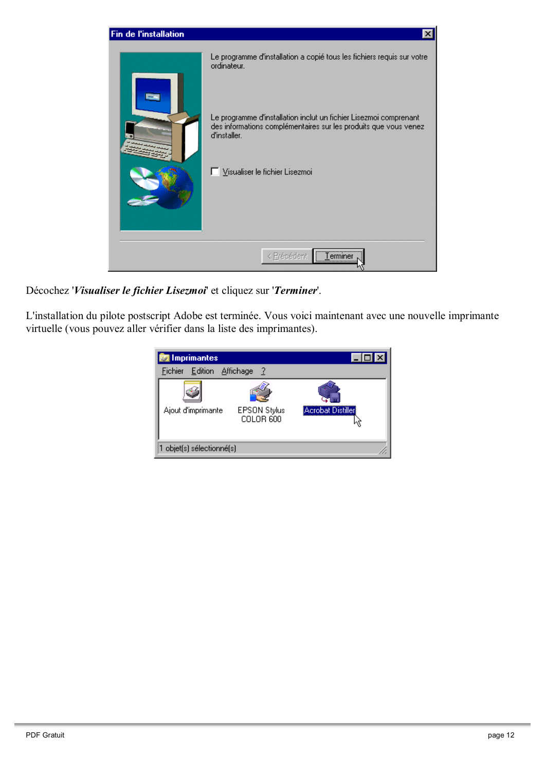

Décochez 'Visualiser le fichier Lisezmoi' et cliquez sur 'Terminer'.

L'installation du pilote postscript Adobe est terminée. Vous voici maintenant avec une nouvelle imprimante virtuelle (vous pouvez aller vérifier dans la liste des imprimantes).

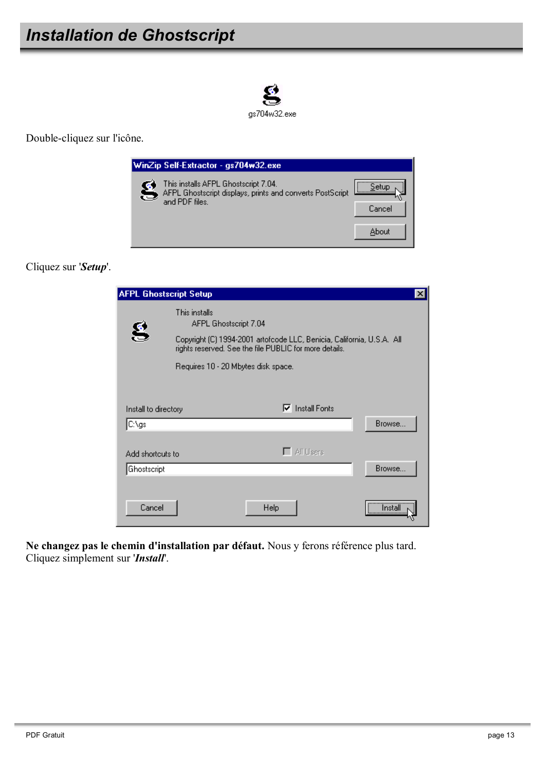

Double-cliquez sur l'icône.

|   | WinZip Self-Extractor - gs704w32.exe                                                                                  |        |
|---|-----------------------------------------------------------------------------------------------------------------------|--------|
| S | This installs AFPL Ghostscript 7.04.<br>AFPL Ghostscript displays, prints and converts PostScript  <br>and PDF files. | Cancel |
|   |                                                                                                                       | About  |

Cliquez sur 'Setup'.

| <b>AFPL Ghostscript Setup</b> |                                        |                                                                                                                                  | ×           |
|-------------------------------|----------------------------------------|----------------------------------------------------------------------------------------------------------------------------------|-------------|
| S                             | This installs<br>AFPL Ghostscript 7.04 |                                                                                                                                  |             |
|                               |                                        | Copyright (C) 1994-2001 artofcode LLC, Benicia, California, U.S.A. All<br>rights reserved. See the file PUBLIC for more details. |             |
|                               | Requires 10 - 20 Mbytes disk space.    |                                                                                                                                  |             |
|                               |                                        |                                                                                                                                  |             |
| Install to directory          |                                        | <b>Install Fonts</b><br>⊽                                                                                                        |             |
| C:\gs                         |                                        |                                                                                                                                  | Browse      |
| Add shortcuts to              |                                        | $\Box$ All Users                                                                                                                 |             |
| Ghostscript                   |                                        |                                                                                                                                  | Browse      |
| Cancel                        |                                        | Help                                                                                                                             | <br>Install |
|                               |                                        |                                                                                                                                  |             |

Ne changez pas le chemin d'installation par défaut. Nous y ferons référence plus tard. Cliquez simplement sur 'Install'.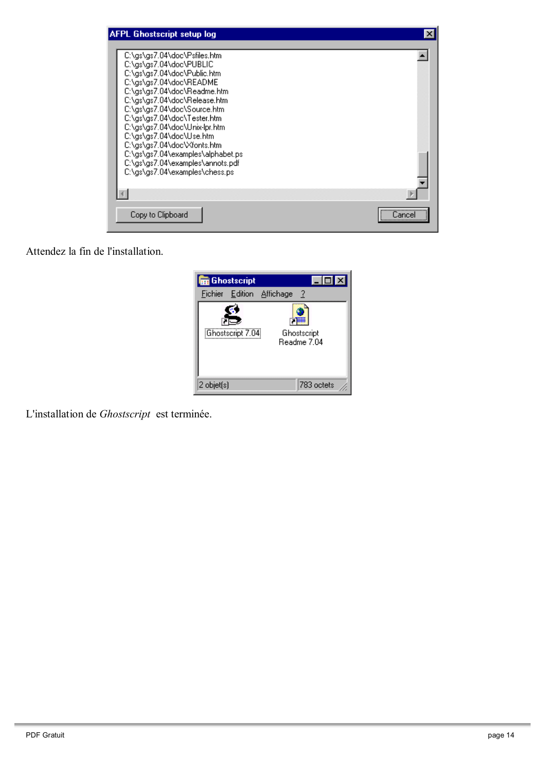| <b>AFPL Ghostscript setup log</b>                                                                                                                                                                                                                                                                                                                                                                                                                     |       |
|-------------------------------------------------------------------------------------------------------------------------------------------------------------------------------------------------------------------------------------------------------------------------------------------------------------------------------------------------------------------------------------------------------------------------------------------------------|-------|
| C:\gs\gs7.04\doc\Psfiles.htm<br>C:\as\as7.04\doc\PUBLIC<br>C:\gs\gs7.04\doc\Public.htm<br>C:\as\as7.04\doc\README<br>C:\as\as7.04\doc\Readme.htm<br>C:\gs\gs7.04\doc\Release.htm<br>C:\as\as7.04\doc\Source.htm<br>C:\gs\gs7.04\doc\Tester.htm<br>C:\gs\gs7.04\doc\Unix-lpr.htm<br>C:\gs\gs7.04\doc\Use.htm<br>C:\gs\gs7.04\doc\Xfonts.htm<br>C:\gs\gs7.04\examples\alphabet.ps<br>C:\gs\gs7.04\examples\annots.pdf<br>C:\gs\gs7.04\examples\chess.ps |       |
|                                                                                                                                                                                                                                                                                                                                                                                                                                                       |       |
| Copy to Clipboard                                                                                                                                                                                                                                                                                                                                                                                                                                     | Cance |

Attendez la fin de l'installation.



L'installation de Ghostscript est terminée.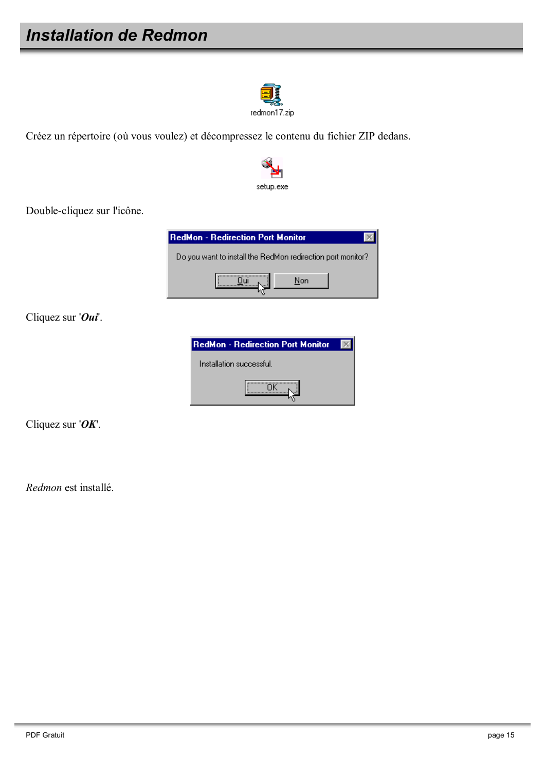## **Installation de Redmon**



Créez un répertoire (où vous voulez) et décompressez le contenu du fichier ZIP dedans.



Double-cliquez sur l'icône.



Cliquez sur ' $\boldsymbol{O}$ ui'.

| <b>RedMon - Redirection Port Monitor</b> |  |
|------------------------------------------|--|
| Installation successful.                 |  |
|                                          |  |

Cliquez sur ' $OK$ .

Redmon est installé.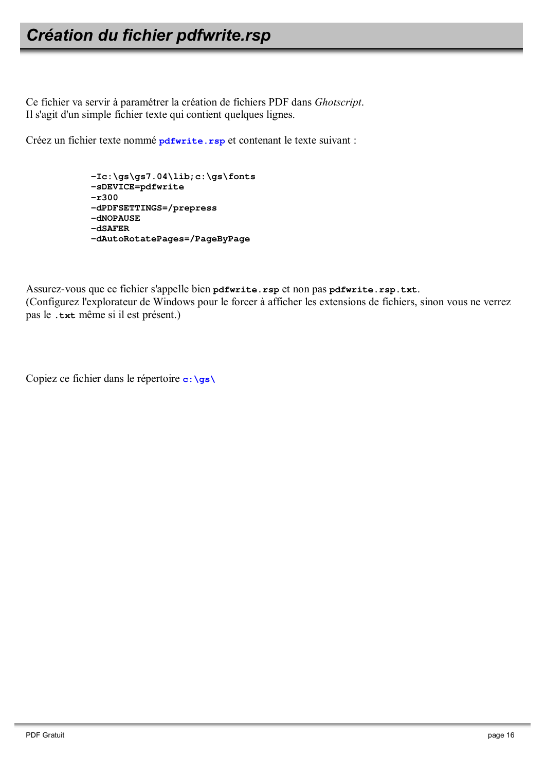## Création du fichier pdfwrite.rsp

Ce fichier va servir à paramétrer la création de fichiers PDF dans Ghotscript. Il s'agit d'un simple fichier texte qui contient quelques lignes.

Créez un fichier texte nommé pdfwrite.rsp et contenant le texte suivant :

```
-Ic:\gs\gs7.04\lib;c:\gs\ fonts-sDEVICE=pdfwrite
-r300-dPDFSETTINGS=/prepress
-dNOPAUSE-dSAFER-dAutoRotatePages=/PageByPage
```
Assurez-vous que ce fichier s'appelle bien pdfwrite.rsp et non pas pdfwrite.rsp.txt. (Configurez l'explorateur de Windows pour le forcer à afficher les extensions de fichiers, sinon vous ne verrez pas le .txt même si il est présent.)

Copiez ce fichier dans le répertoire  $c: \succeq s \setminus$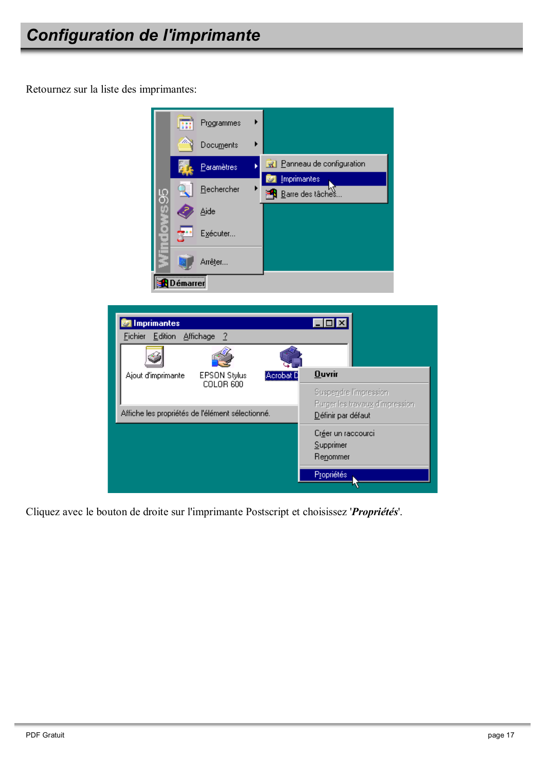Retournez sur la liste des imprimantes:





Cliquez avec le bouton de droite sur l'imprimante Postscript et choisissez 'Propriétés'.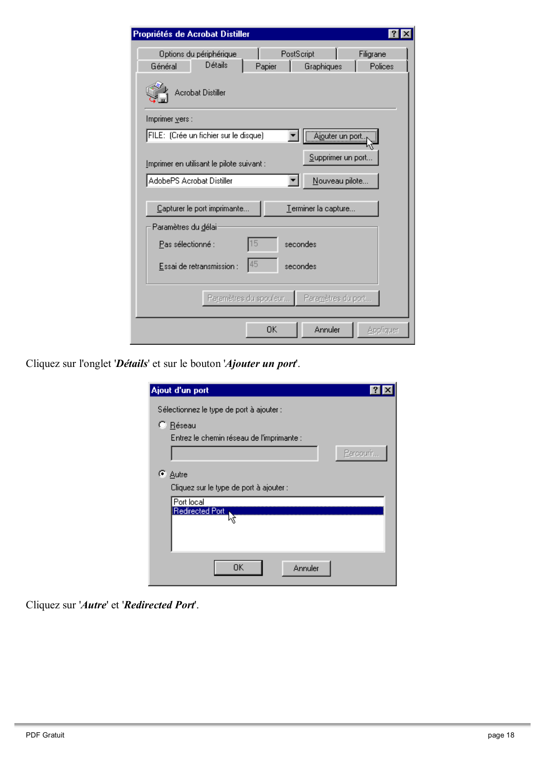| Propriétés de Acrobat Distiller                                                                             |  |  |  |  |
|-------------------------------------------------------------------------------------------------------------|--|--|--|--|
| PostScript<br>Options du périphérique<br>Filigrane<br>Détails<br>Polices<br>Général<br>Papier<br>Graphiques |  |  |  |  |
| <b>Acrobat Distiller</b>                                                                                    |  |  |  |  |
| Imprimer vers :                                                                                             |  |  |  |  |
| FILE: (Crée un fichier sur le disque)<br>Ajouter un port.                                                   |  |  |  |  |
| Supprimer un port.<br>Imprimer en utilisant le pilote suivant :                                             |  |  |  |  |
| AdobePS Acrobat Distiller<br>Nouveau pilote                                                                 |  |  |  |  |
| Capturer le port imprimante<br>Terminer la capture                                                          |  |  |  |  |
| Paramètres du délai:                                                                                        |  |  |  |  |
| 15<br>Pas sélectionné :<br>secondes                                                                         |  |  |  |  |
| 45<br>Essai de retransmission :<br>secondes                                                                 |  |  |  |  |
| Paramètres du spouleur<br>Paramètres du port                                                                |  |  |  |  |
| OΚ<br>Annuler<br>Appliquer                                                                                  |  |  |  |  |

Cliquez sur l'onglet 'Détails' et sur le bouton 'Ajouter un port'.

| Ajout d'un port                           |           |
|-------------------------------------------|-----------|
| Sélectionnez le type de port à ajouter :  |           |
| C Réseau                                  |           |
| Entrez le chemin réseau de l'imprimante : |           |
|                                           | Parcourir |
|                                           |           |
| G.<br>Autre                               |           |
| Cliquez sur le type de port à ajouter :   |           |
| Port local                                |           |
| Redirected Port                           |           |
|                                           |           |
|                                           |           |
|                                           |           |
| OΚ<br>Annuler                             |           |
|                                           |           |

Cliquez sur 'Autre' et 'Redirected Port'.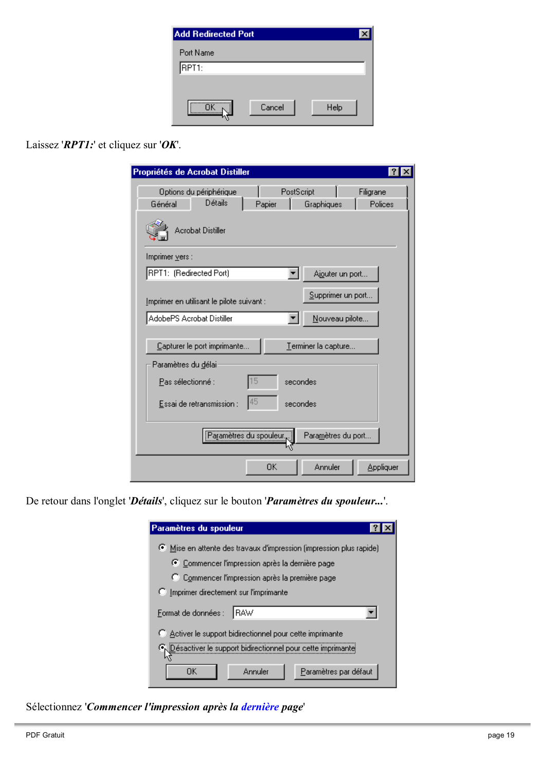| <b>Add Redirected Port</b> |        |      |  |
|----------------------------|--------|------|--|
| Port Name                  |        |      |  |
| RPT1:                      |        |      |  |
|                            |        |      |  |
|                            | Cancel | Help |  |
|                            |        |      |  |

#### Laissez 'RPTI:' et cliquez sur 'OK'.

| Propriétés de Acrobat Distiller                                                                             |  |  |  |
|-------------------------------------------------------------------------------------------------------------|--|--|--|
| PostScript<br>Options du périphérique<br>Filigrane<br>Détails<br>Polices<br>Général<br>Graphiques<br>Papier |  |  |  |
| <b>Acrobat Distiller</b>                                                                                    |  |  |  |
| Imprimer vers :                                                                                             |  |  |  |
| RPT1: (Redirected Port)<br>Ajouter un port                                                                  |  |  |  |
| Supprimer un port<br>Imprimer en utilisant le pilote suivant :                                              |  |  |  |
| AdobePS Acrobat Distiller<br>Nouveau pilote                                                                 |  |  |  |
| Capturer le port imprimante<br>Terminer la capture                                                          |  |  |  |
| Paramètres du délai                                                                                         |  |  |  |
| 15<br>Pas sélectionné :<br>secondes                                                                         |  |  |  |
| 45<br>Essai de retransmission :<br>secondes                                                                 |  |  |  |
| Paramètres du port                                                                                          |  |  |  |
| OΚ<br>Annuler<br>Appliquer                                                                                  |  |  |  |

De retour dans l'onglet 'Détails', cliquez sur le bouton 'Paramètres du spouleur...'.

| Paramètres du spouleur                                            |
|-------------------------------------------------------------------|
| Mise en attente des travaux d'impression (impression plus rapide) |
| C Commencer l'impression après la dernière page                   |
| C Commencer l'impression après la première page                   |
| <b>C</b> Imprimer directement sur l'imprimante                    |
| Format de données :<br>⊟BAW                                       |
| Activer le support bidirectionnel pour cette imprimante           |
| O Désactiver le support bidirectionnel pour cette imprimante      |
| Paramètres par défaut<br>Annuler<br>OΚ                            |

Sélectionnez 'Commencer l'impression après la dernière page'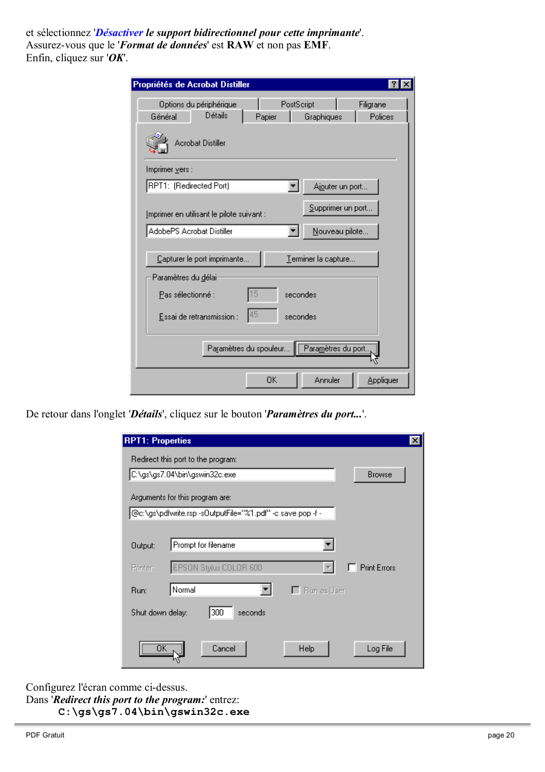et sélectionnez 'Désactiver le support bidirectionnel pour cette imprimante'. Assurez-vous que le '*Format de données*' est RAW et non pas EMF. Enfin, cliquez sur ' $OK$ .

| Propriétés de Acrobat Distiller                             |                      |                     |                      |  |
|-------------------------------------------------------------|----------------------|---------------------|----------------------|--|
| Options du périphérique<br>Détails<br>Général               | PostScript<br>Papier | Graphiques          | Filigrane<br>Polices |  |
| <b>Acrobat Distiller</b>                                    |                      |                     |                      |  |
| Imprimer vers :                                             |                      |                     |                      |  |
| RPT1: (Redirected Port)                                     |                      | Ajouter un port     |                      |  |
| <u>I</u> mprimer en utilisant le pilote suivant :           |                      | Supprimer un port   |                      |  |
| AdobePS Acrobat Distiller                                   |                      | Nouveau pilote      |                      |  |
| Capturer le port imprimante                                 |                      | Terminer la capture |                      |  |
| Paramètres du délai:                                        |                      |                     |                      |  |
| 15<br>Pas sélectionné :<br>secondes                         |                      |                     |                      |  |
| 45<br>Essai de retransmission :<br>secondes                 |                      |                     |                      |  |
| .<br>Para <u>m</u> ètres du port.<br>Paramètres du spouleur |                      |                     |                      |  |
|                                                             | 0K                   | Annuler             | Appliquer            |  |

De retour dans l'onglet 'Détails', cliquez sur le bouton 'Paramètres du port...'.

| <b>RPT1: Properties</b>             |                                                            | $\boldsymbol{\mathsf{x}}$ |
|-------------------------------------|------------------------------------------------------------|---------------------------|
|                                     | Redirect this port to the program:                         |                           |
|                                     | C:\gs\gs7.04\bin\gswin32c.exe<br><b>Browse</b>             |                           |
|                                     | Arguments for this program are:                            |                           |
|                                     | @c:\gs\pdfwrite.rsp -sOutputFile="%1.pdf" -c save pop -f - |                           |
|                                     |                                                            |                           |
| Output:                             | Prompt for filename                                        |                           |
| Printer:                            | EPSON Stylus COLOR 600<br><b>Print Errors</b>              |                           |
| Run:                                | Normal<br>$\Box$ Bun as User                               |                           |
| Shut down delay:                    | 300<br>seconds                                             |                           |
|                                     |                                                            |                           |
| $\overline{\overline{\text{OK}}}$ . | Cancel<br>Help<br>Log File                                 |                           |

Configurez l'écran comme ci-dessus. Dans 'Redirect this port to the program:' entrez:  $C:\gs\gs$ 7.04\bin\gswin32c.exe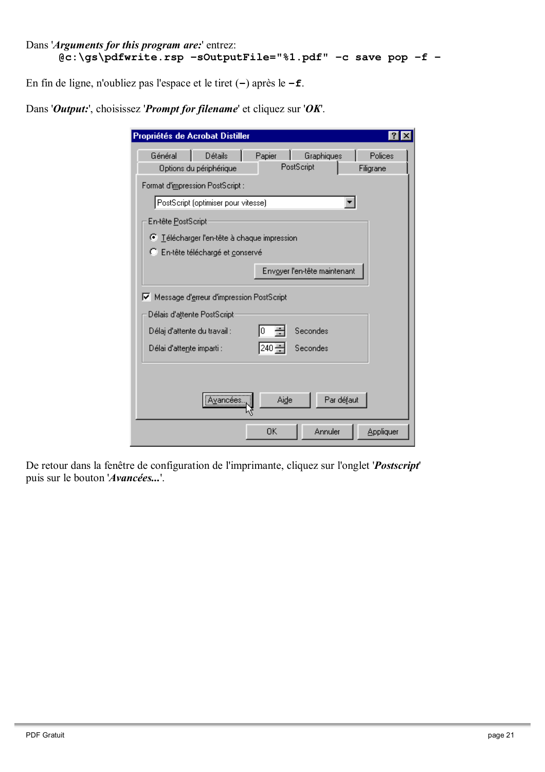```
Dans 'Arguments for this program are:' entrez:
     @c:\gs\pdfwrite.rsp -s0utputFile="%1.pdf" -c save pop -f -
```
En fin de ligne, n'oubliez pas l'espace et le tiret  $(-)$  après le  $-\mathbf{f}$ .

| Papier<br>Graphiques<br>Général<br><b>Détails</b><br>PostScript<br>Options du périphérique<br>Filigrane<br>Format d'impression PostScript :<br>PostScript (optimiser pour vitesse)<br>En-tête PostScript<br>○ Télécharger l'en-tête à chaque impression<br>C En-tête téléchargé et conservé<br>Envoyer l'en-tête maintenant<br>Ⅳ Message d'erreur d'impression PostScript<br>Délais d'attente PostScript:<br>Secondes<br>Délaj d'attente du travail :<br>0<br>240 릨<br>Secondes<br>Délai d'attente imparti : |  |         |
|--------------------------------------------------------------------------------------------------------------------------------------------------------------------------------------------------------------------------------------------------------------------------------------------------------------------------------------------------------------------------------------------------------------------------------------------------------------------------------------------------------------|--|---------|
|                                                                                                                                                                                                                                                                                                                                                                                                                                                                                                              |  | Polices |
|                                                                                                                                                                                                                                                                                                                                                                                                                                                                                                              |  |         |
|                                                                                                                                                                                                                                                                                                                                                                                                                                                                                                              |  |         |
|                                                                                                                                                                                                                                                                                                                                                                                                                                                                                                              |  |         |
|                                                                                                                                                                                                                                                                                                                                                                                                                                                                                                              |  |         |
|                                                                                                                                                                                                                                                                                                                                                                                                                                                                                                              |  |         |
|                                                                                                                                                                                                                                                                                                                                                                                                                                                                                                              |  |         |
|                                                                                                                                                                                                                                                                                                                                                                                                                                                                                                              |  |         |
|                                                                                                                                                                                                                                                                                                                                                                                                                                                                                                              |  |         |
|                                                                                                                                                                                                                                                                                                                                                                                                                                                                                                              |  |         |
|                                                                                                                                                                                                                                                                                                                                                                                                                                                                                                              |  |         |
|                                                                                                                                                                                                                                                                                                                                                                                                                                                                                                              |  |         |
|                                                                                                                                                                                                                                                                                                                                                                                                                                                                                                              |  |         |
|                                                                                                                                                                                                                                                                                                                                                                                                                                                                                                              |  |         |
|                                                                                                                                                                                                                                                                                                                                                                                                                                                                                                              |  |         |
| Aide<br>Par défaut<br>Avancées                                                                                                                                                                                                                                                                                                                                                                                                                                                                               |  |         |
| OΚ<br>Annuler<br>Appliquer                                                                                                                                                                                                                                                                                                                                                                                                                                                                                   |  |         |

Dans 'Output:', choisissez 'Prompt for filename' et cliquez sur 'OK'.

De retour dans la fenêtre de configuration de l'imprimante, cliquez sur l'onglet '*Postscript*' puis sur le bouton 'Avancées...'.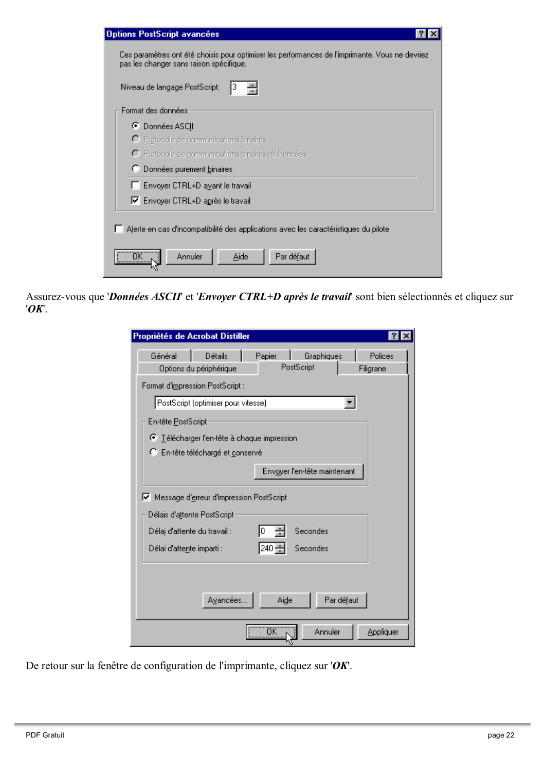| <b>Options PostScript avancées</b>                                                                                                                    |
|-------------------------------------------------------------------------------------------------------------------------------------------------------|
| Ces paramètres ont été choisis pour optimiser les performances de l'imprimante. Vous ne devriez<br>pas les changer sans raison spécifique.            |
| Niveau de langage PostScript:<br>з                                                                                                                    |
| Format des données                                                                                                                                    |
| C Données ASCII                                                                                                                                       |
| O Protocole de communications binaires                                                                                                                |
| O Protocole de communications binaires référencées                                                                                                    |
| C Données purement binaires                                                                                                                           |
| □ Envoyer CTRL+D avant le travail                                                                                                                     |
| Ⅳ Envoyer CTRL+D après le travail                                                                                                                     |
| Alerte en cas d'incompatibilité des applications avec les caractéristiques du pilote.<br>$\overline{\mathsf{D}}$ K .<br>Annuler<br>Aide<br>Par défaut |

Assurez-vous que 'Données ASCII' et 'Envoyer CTRL+D après le travail' sont bien sélectionnés et cliquez sur  $'OK$ .

| Propriétés de Acrobat Distiller                                                                                                                                                       |  |
|---------------------------------------------------------------------------------------------------------------------------------------------------------------------------------------|--|
| Papier<br>Graphiques<br>Général<br>Détails<br>Polices<br>PostScript<br>Options du périphérique<br>Filigrane                                                                           |  |
| Format d'impression PostScript :                                                                                                                                                      |  |
| PostScript (optimiser pour vitesse)                                                                                                                                                   |  |
| En-tête PostScript                                                                                                                                                                    |  |
| ○ Télécharger l'en-tête à chaque impression                                                                                                                                           |  |
| C En-tête téléchargé et conservé                                                                                                                                                      |  |
| Envoyer l'en-tête maintenant                                                                                                                                                          |  |
| Message d'erreur d'impression PostScript<br>⊽<br>Délais d'attente PostScript:<br>Secondes<br>Délaj d'attente du travail :<br>0<br>$240 \div$<br>Secondes<br>Délai d'attente imparti : |  |
| Par défaut<br>Avancées.<br>Aide                                                                                                                                                       |  |
| $\overline{OK}$<br>Annuler<br>Appliquer                                                                                                                                               |  |

De retour sur la fenêtre de configuration de l'imprimante, cliquez sur ' $OK$ .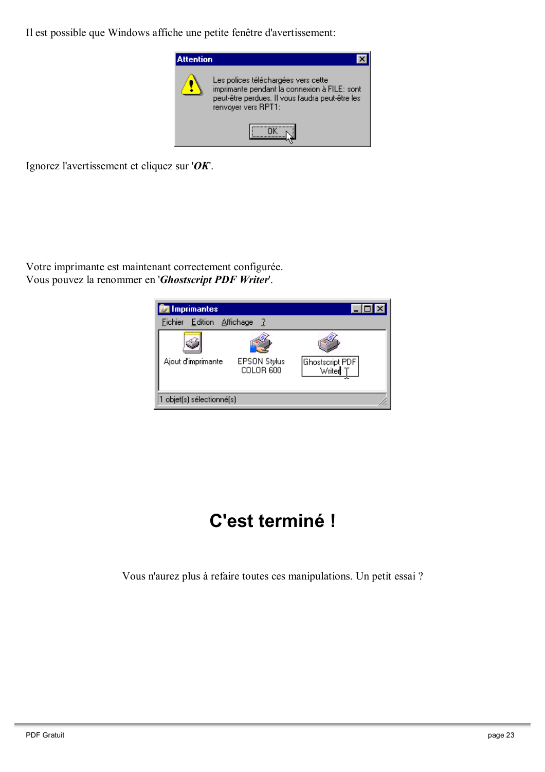Il est possible que Windows affiche une petite fenêtre d'avertissement:



Ignorez l'avertissement et cliquez sur ' $OK$ .

Votre imprimante est maintenant correctement configurée. Vous pouvez la renommer en 'Ghostscript PDF Writer'.



## C'est terminé !

Vous n'aurez plus à refaire toutes ces manipulations. Un petit essai ?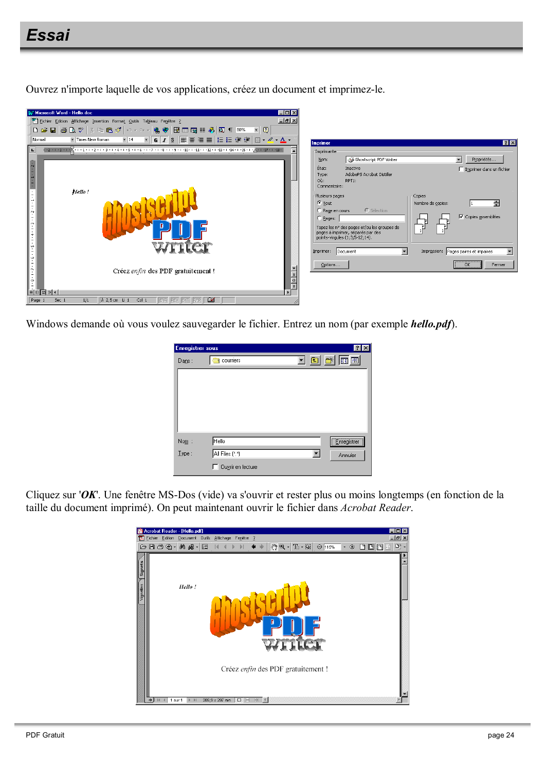### Essai

Ouvrez n'importe laquelle de vos applications, créez un document et imprimez-le.



Windows demande où vous voulez sauvegarder le fichier. Entrez un nom (par exemple hello.pdf).

| <b>Enregistrer sous</b> | $ ?  \times$                      |
|-------------------------|-----------------------------------|
| Dans:                   | ddd <mark>a d</mark><br>courriers |
|                         |                                   |
|                         |                                   |
|                         |                                   |
|                         |                                   |
|                         |                                   |
| $\mathsf{Nom}$ :        | <b>Enregistrer</b><br>Hello       |
| Type:                   | All Files (*.*)<br>Annuler        |
|                         | Ouvrir en lecture                 |

Cliquez sur ' $OK$ '. Une fenêtre MS-Dos (vide) va s'ouvrir et rester plus ou moins longtemps (en fonction de la taille du document imprimé). On peut maintenant ouvrir le fichier dans Acrobat Reader.

| ᆽ                    | Acrobat Reader - [Hello.pdf]<br>- 10<br>Fichier Edition Document Outils Affichage Fenêtre ?<br>$-10 \times$<br>$\blacklozenge \land  \langle \overline{\heartsuit} \rangle \heartsuit \cdot  \text{T}_1 \cdot \text{S} \rangle  \ominus \text{max} \quad \cdot \odot  \text{C} \text{C} \text{S} $<br>○日子龟 相感 -<br>$\blacksquare$<br>$\mathbb{N}$<br> 4<br>$\blacktriangleleft$ | $\mathbb{D}^3$ . |
|----------------------|---------------------------------------------------------------------------------------------------------------------------------------------------------------------------------------------------------------------------------------------------------------------------------------------------------------------------------------------------------------------------------|------------------|
| Signets<br>'ignettes | Hello!<br>writer                                                                                                                                                                                                                                                                                                                                                                |                  |
|                      | Créez enfin des PDF gratuitement !<br>開 4<br>$\Box$ $\equiv$<br>业<br>$209.9 \times 297$ mm<br>1 sur 1<br>$\mathbb{H}$                                                                                                                                                                                                                                                           |                  |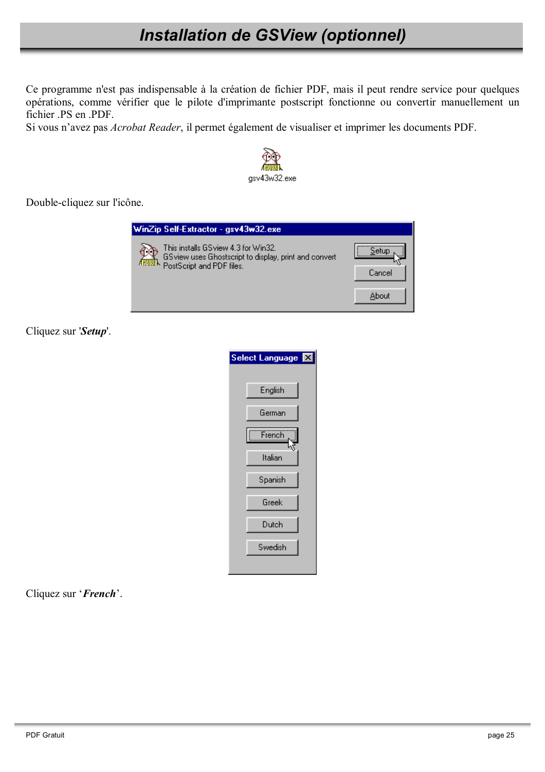## **Installation de GSView (optionnel)**

Ce programme n'est pas indispensable à la création de fichier PDF, mais il peut rendre service pour quelques opérations, comme vérifier que le pilote d'imprimante postscript fonctionne ou convertir manuellement un fichier .PS en .PDF.

Si vous n'avez pas *Acrobat Reader*, il permet également de visualiser et imprimer les documents PDF.



Double-cliquez sur l'icône.

| WinZip Self-Extractor - gsv43w32.exe                                                                                                    |        |
|-----------------------------------------------------------------------------------------------------------------------------------------|--------|
| This installs GS view 4.3 for Win32.<br>GS view uses Ghostscript to display, print and convert<br><b>RWER</b> PostScript and PDF files. | Cancel |
|                                                                                                                                         | About  |

Cliquez sur 'Setup'.

| Select Language <b>X</b> |  |
|--------------------------|--|
| English                  |  |
| German                   |  |
|                          |  |
| Italian                  |  |
| Spanish                  |  |
| Greek                    |  |
| Dutch                    |  |
| Swedish                  |  |
|                          |  |

Cliquez sur 'French'.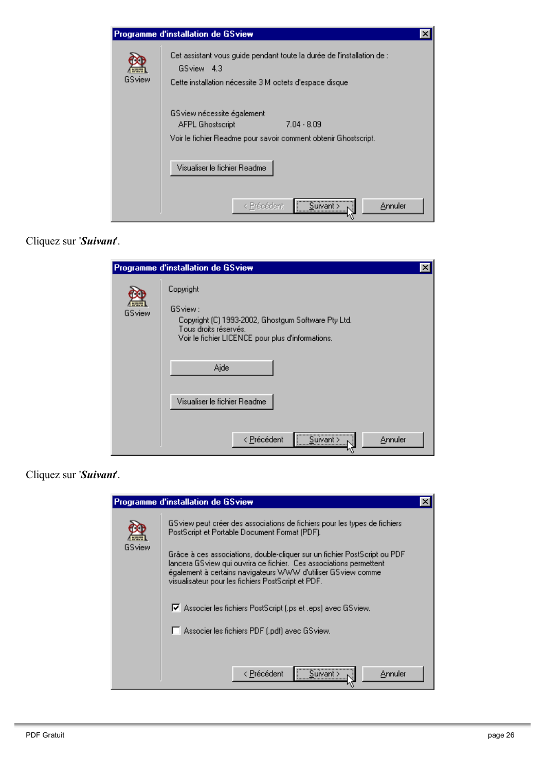

#### Cliquez sur 'Suivant'.

|        | Programme d'installation de GSview                                                                                                                        |
|--------|-----------------------------------------------------------------------------------------------------------------------------------------------------------|
| GSview | Copyright<br>GSview:<br>Copyright (C) 1993-2002, Ghostgum Software Pty Ltd.<br>Tous droits réservés.<br>Voir le fichier LICENCE pour plus d'informations. |
|        | Aide<br>Visualiser le fichier Readme<br>< Précédent<br>Annuler<br>Suivant >                                                                               |

#### Cliquez sur 'Suivant'.

|        | Programme d'installation de GSview                                                                                                                                                                                                                                                                                                                                                                                                                                                                                       |
|--------|--------------------------------------------------------------------------------------------------------------------------------------------------------------------------------------------------------------------------------------------------------------------------------------------------------------------------------------------------------------------------------------------------------------------------------------------------------------------------------------------------------------------------|
| GSview | GS view peut créer des associations de fichiers pour les types de fichiers<br>PostScript et Portable Document Format (PDF).<br>Grâce à ces associations, double-cliquer sur un fichier PostScript ou PDF<br>lancera GS view qui ouvrira ce fichier.  Ces associations permettent<br>également à certains navigateurs WWW d'utiliser GSview comme<br>visualisateur pour les fichiers PostScript et PDF.<br>Ⅳ Associer les fichiers PostScript [.ps et .eps] avec GSview.<br>Associer les fichiers PDF (.pdf) avec GSview. |
|        | Suivant ><br>< Précédent<br>Annuler                                                                                                                                                                                                                                                                                                                                                                                                                                                                                      |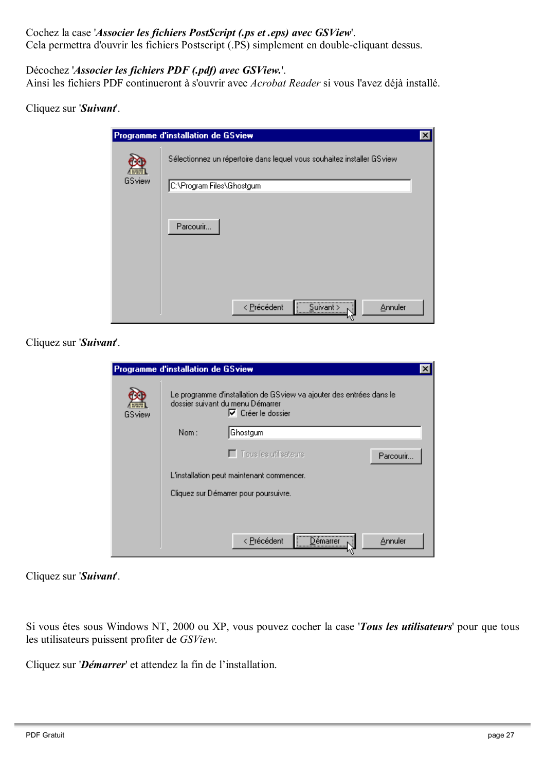#### Cochez la case 'Associer les fichiers PostScript (.ps et .eps) avec GSView'.

Cela permettra d'ouvrir les fichiers Postscript (.PS) simplement en double-cliquant dessus.

#### Décochez 'Associer les fichiers PDF (.pdf) avec GSView.'.

Ainsi les fichiers PDF continueront à s'ouvrir avec Acrobat Reader si vous l'avez déjà installé.

#### Cliquez sur 'Suivant'.

|                | Programme d'installation de GSview                                     | $\times$ |
|----------------|------------------------------------------------------------------------|----------|
| $\sqrt{1 + 4}$ | Sélectionnez un répertoire dans lequel vous souhaitez installer GSview |          |
| GSview         | C:\Program Files\Ghostgum                                              |          |
|                |                                                                        |          |
|                | Parcourir                                                              |          |
|                |                                                                        |          |
|                |                                                                        |          |
|                | $\frac{1}{\sqrt{2}}$ Suivant > $\sqrt{2}$<br>< Précédent<br>Annuler    |          |

Cliquez sur 'Suivant'.

|        | Programme d'installation de GSview |                                                                                                                                       |           |
|--------|------------------------------------|---------------------------------------------------------------------------------------------------------------------------------------|-----------|
| GSview |                                    | Le programme d'installation de GSview va ajouter des entrées dans le<br>dossier suivant du menu Démarrer<br>$\nabla$ Créer le dossier |           |
|        | Nom:                               | Ghostgum                                                                                                                              |           |
|        |                                    | $\Box$ Tous les utilisateurs                                                                                                          | Parcourir |
|        |                                    | L'installation peut maintenant commencer.                                                                                             |           |
|        |                                    | Cliquez sur Démarrer pour poursuivre.                                                                                                 |           |
|        |                                    |                                                                                                                                       |           |
|        |                                    | <br>< Précédent<br>Démarrer                                                                                                           | Annuler   |

Cliquez sur 'Suivant'.

Si vous êtes sous Windows NT, 2000 ou XP, vous pouvez cocher la case 'Tous les utilisateurs' pour que tous les utilisateurs puissent profiter de GSView.

Cliquez sur 'Démarrer' et attendez la fin de l'installation.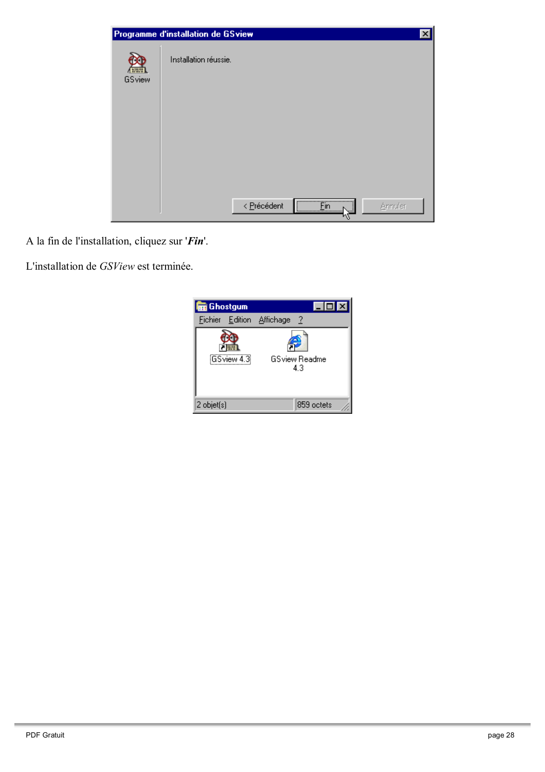|                               | Programme d'installation de GSview                                        | × |
|-------------------------------|---------------------------------------------------------------------------|---|
| Alburg <sub>1</sub><br>GSview | Installation réussie.                                                     |   |
|                               |                                                                           |   |
|                               | $F_{\text{in}}$<br>< Précédent<br>Annuler<br><u> \<del></del></u> .<br>,: |   |

A la fin de l'installation, cliquez sur 'Fin'.

L'installation de GSView est terminée.

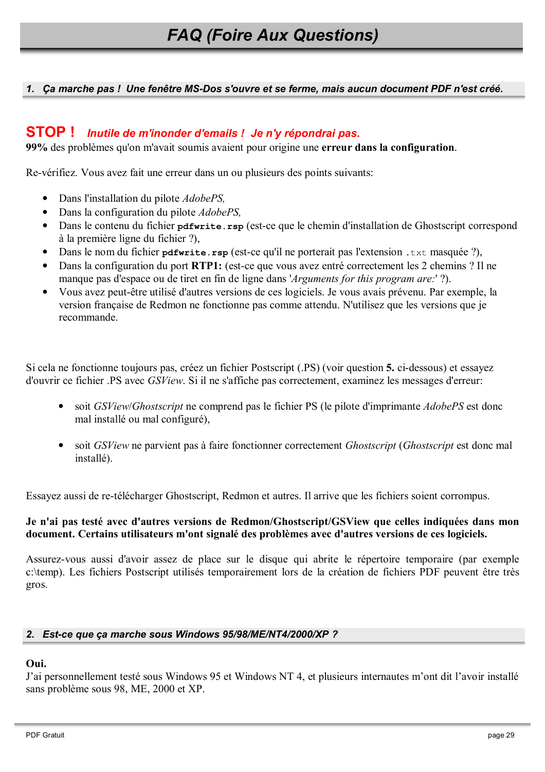#### 1. Ca marche pas! Une fenêtre MS-Dos s'ouvre et se ferme, mais aucun document PDF n'est créé.

#### **STOP!** Inutile de m'inonder d'emails ! Je n'y répondrai pas.

99% des problèmes qu'on m'avait soumis avaient pour origine une erreur dans la configuration.

Re-vérifiez. Vous avez fait une erreur dans un ou plusieurs des points suivants:

- Dans l'installation du pilote AdobePS,
- Dans la configuration du pilote *AdobePS*,
- Dans le contenu du fichier pdfwrite.rsp (est-ce que le chemin d'installation de Ghostscript correspond à la première ligne du fichier ?).
- Dans le nom du fichier pdfwrite.rsp (est-ce qu'il ne porterait pas l'extension .txt masquée ?),
- Dans la configuration du port RTP1: (est-ce que vous avez entré correctement les 2 chemins ? Il ne manque pas d'espace ou de tiret en fin de ligne dans *'Arguments for this program are*: '?).
- Vous avez peut-être utilisé d'autres versions de ces logiciels. Je vous avais prévenu. Par exemple, la version française de Redmon ne fonctionne pas comme attendu. N'utilisez que les versions que je recommande.

Si cela ne fonctionne toujours pas, créez un fichier Postscript (PS) (voir question 5, ci-dessous) et essavez d'ouvrir ce fichier .PS avec *GSView*. Si il ne s'affiche pas correctement, examinez les messages d'erreur:

- soit *GSView/Ghostscript* ne comprend pas le fichier PS (le pilote d'imprimante *AdobePS* est donc mal installé ou mal configuré).
- soit *GSView* ne parvient pas à faire fonctionner correctement *Ghostscript* (*Ghostscript* est donc mal installé).

Essayez aussi de re-télécharger Ghostscript, Redmon et autres. Il arrive que les fichiers soient corrompus.

#### Je n'ai pas testé avec d'autres versions de Redmon/Ghostscript/GSView que celles indiquées dans mon document. Certains utilisateurs m'ont signalé des problèmes avec d'autres versions de ces logiciels.

Assurez-vous aussi d'avoir assez de place sur le disque qui abrite le répertoire temporaire (par exemple c:\temp). Les fichiers Postscript utilisés temporairement lors de la création de fichiers PDF peuvent être très gros.

#### 2. Est-ce que ça marche sous Windows 95/98/ME/NT4/2000/XP ?

#### Oui.

J'ai personnellement testé sous Windows 95 et Windows NT 4, et plusieurs internautes m'ont dit l'avoir installé sans problème sous 98, ME, 2000 et XP.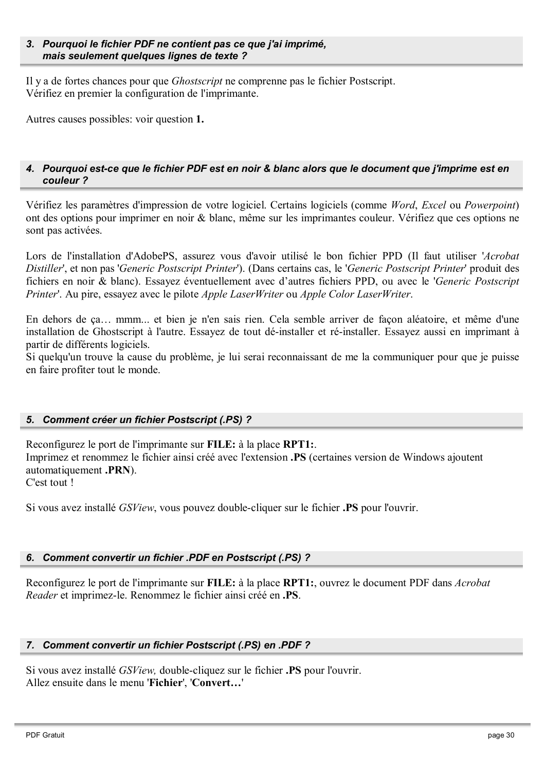#### 3. Pourquoi le fichier PDF ne contient pas ce que j'ai imprimé, mais seulement quelques lignes de texte ?

Il y a de fortes chances pour que *Ghostscript* ne comprenne pas le fichier Postscript. Vérifiez en premier la configuration de l'imprimante.

Autres causes possibles: voir question 1.

#### 4. Pourquoi est-ce que le fichier PDF est en noir & blanc alors que le document que j'imprime est en couleur?

Vérifiez les paramètres d'impression de votre logiciel. Certains logiciels (comme Word, Excel ou Powerpoint) ont des options pour imprimer en noir & blanc, même sur les imprimantes couleur. Vérifiez que ces options ne sont pas activées.

Lors de l'installation d'AdobePS, assurez vous d'avoir utilisé le bon fichier PPD (Il faut utiliser 'Acrobat Distiller', et non pas 'Generic Postscript Printer'). (Dans certains cas, le 'Generic Postscript Printer' produit des fichiers en noir & blanc). Essayez éventuellement avec d'autres fichiers PPD, ou avec le 'Generic Postscript' Printer'. Au pire, essayez avec le pilote Apple LaserWriter ou Apple Color LaserWriter.

En dehors de ça... mmm... et bien je n'en sais rien. Cela semble arriver de façon aléatoire, et même d'une installation de Ghostscript à l'autre. Essayez de tout dé-installer et ré-installer. Essayez aussi en imprimant à partir de différents logiciels.

Si quelqu'un trouve la cause du problème, je lui serai reconnaissant de me la communiquer pour que je puisse en faire profiter tout le monde.

#### 5. Comment créer un fichier Postscript (.PS) ?

Reconfigurez le port de l'imprimante sur FILE: à la place RPT1: Imprimez et renommez le fichier ainsi créé avec l'extension **.PS** (certaines version de Windows ajoutent automatiquement .PRN). C'est tout !

Si vous avez installé *GSView*, vous pouvez double-cliquer sur le fichier **.PS** pour l'ouvrir.

#### 6. Comment convertir un fichier .PDF en Postscript (.PS) ?

Reconfigurez le port de l'imprimante sur FILE: à la place RPT1:, ouvrez le document PDF dans Acrobat Reader et imprimez-le. Renommez le fichier ainsi créé en .PS.

#### 7. Comment convertir un fichier Postscript (.PS) en .PDF?

Si vous avez installé GSView, double-cliquez sur le fichier .PS pour l'ouvrir. Allez ensuite dans le menu 'Fichier', 'Convert...'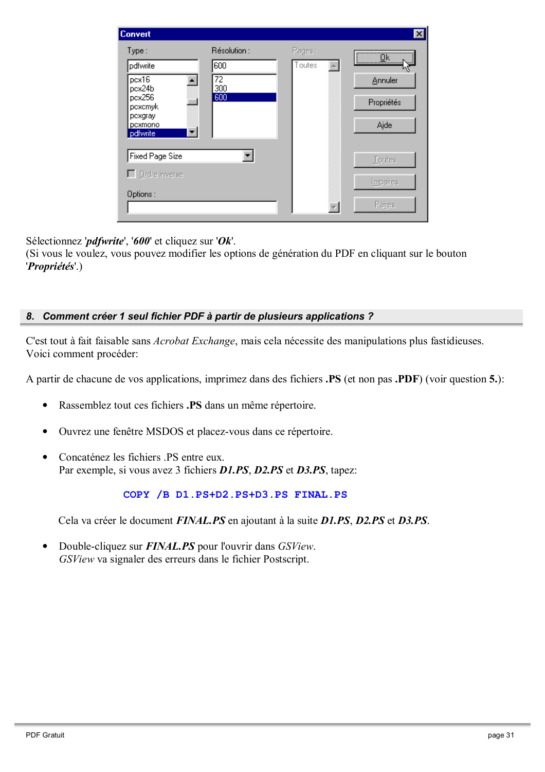| <b>Convert</b>                 |                        |        | $\vert x \vert$         |
|--------------------------------|------------------------|--------|-------------------------|
| Type:                          | Résolution :           | Pages: | $\overline{\mathsf{R}}$ |
| pdfwrite                       | 600                    | Toutes | <del></del>             |
| pcx16<br>pcx24b                | $\overline{72}$<br>300 |        | Annuler                 |
| pcx256<br>pexemyk              | 600                    |        | Propriétés              |
| pcxgray<br>pcxmono<br>pdfwrite |                        |        | Aide                    |
|                                |                        |        |                         |
| Fixed Page Size                |                        |        | Toutes                  |
| $\Box$ Ordre inverse           |                        |        | Impaires                |
| Options:                       |                        |        |                         |
|                                |                        |        | Paires                  |

Sélectionnez '*pdfwrite*', '600' et cliquez sur 'Ok'.

(Si vous le voulez, vous pouvez modifier les options de génération du PDF en cliquant sur le bouton 'Propriétés'.)

#### 8. Comment créer 1 seul fichier PDF à partir de plusieurs applications ?

C'est tout à fait faisable sans *Acrobat Exchange*, mais cela nécessite des manipulations plus fastidieuses. Voici comment procéder:

A partir de chacune de vos applications, imprimez dans des fichiers .PS (et non pas .PDF) (voir question 5.):

- Rassemblez tout ces fichiers .PS dans un même répertoire.
- Ouvrez une fenêtre MSDOS et placez-vous dans ce répertoire.
- Concaténez les fichiers .PS entre eux. Par exemple, si vous avez 3 fichiers **D1.PS**, **D2.PS** et **D3.PS**, tapez:

#### COPY /B D1.PS+D2.PS+D3.PS FINAL.PS

Cela va créer le document *FINAL.PS* en ajoutant à la suite *D1.PS*, *D2.PS* et *D3.PS*.

Double-cliquez sur **FINAL.PS** pour l'ouvrir dans GSView. GSView va signaler des erreurs dans le fichier Postscript.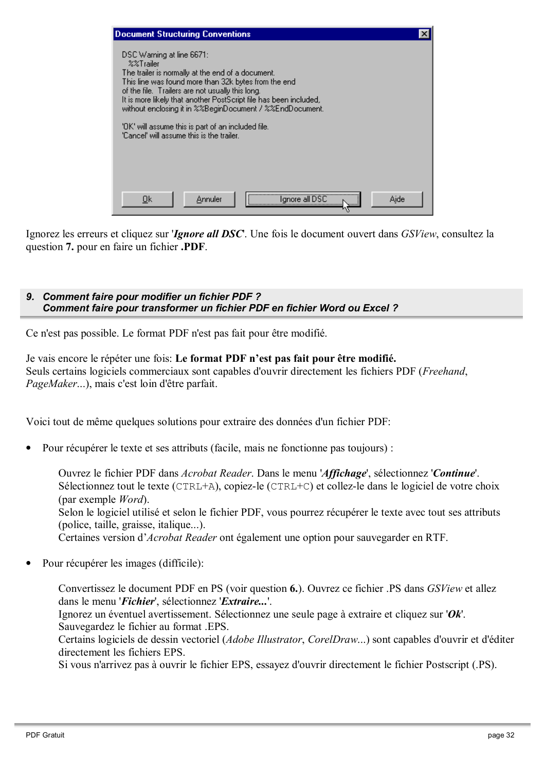| <b>Document Structuring Conventions</b>                                                                                                                                                                                                                                                                                                                                                                                                        |  |
|------------------------------------------------------------------------------------------------------------------------------------------------------------------------------------------------------------------------------------------------------------------------------------------------------------------------------------------------------------------------------------------------------------------------------------------------|--|
| DSC Warning at line 6671:<br>$22$ Trailer<br>The trailer is normally at the end of a document.<br>This line was found more than 32k bytes from the end<br>of the file. Trailers are not usually this long.<br>It is more likely that another PostScript file has been included,<br>without enclosing it in %%BeginDocument / %%EndDocument.<br>"OK" will assume this is part of an included file.<br>'Cancel' will assume this is the trailer. |  |
| gnore all DSC<br>Aide<br>Annuler<br>Οk                                                                                                                                                                                                                                                                                                                                                                                                         |  |

Ignorez les erreurs et cliquez sur *Ignore all DSC*. Une fois le document ouvert dans *GSView*, consultez la question 7. pour en faire un fichier .PDF.

#### 9. Comment faire pour modifier un fichier PDF? Comment faire pour transformer un fichier PDF en fichier Word ou Excel?

Ce n'est pas possible. Le format PDF n'est pas fait pour être modifié.

Je vais encore le répéter une fois: Le format PDF n'est pas fait pour être modifié. Seuls certains logiciels commerciaux sont capables d'ouvrir directement les fichiers PDF (Freehand, *PageMaker...*), mais c'est loin d'être parfait.

Voici tout de même quelques solutions pour extraire des données d'un fichier PDF:

Pour récupérer le texte et ses attributs (facile, mais ne fonctionne pas toujours) :

Ouvrez le fichier PDF dans Acrobat Reader. Dans le menu 'Affichage', sélectionnez 'Continue'. Sélectionnez tout le texte (CTRL+A), copiez-le (CTRL+C) et collez-le dans le logiciel de votre choix (par exemple *Word*). Selon le logiciel utilisé et selon le fichier PDF, vous pourrez récupérer le texte avec tout ses attributs (police, taille, graisse, italique...). Certaines version d'Acrobat Reader ont également une option pour sauvegarder en RTF.

Pour récupérer les images (difficile):

Convertissez le document PDF en PS (voir question 6.). Ouvrez ce fichier .PS dans *GSView* et allez dans le menu 'Fichier', sélectionnez 'Extraire...'.

Ignorez un éventuel avertissement. Sélectionnez une seule page à extraire et cliquez sur ' $Ok$ '. Sauvegardez le fichier au format .EPS.

Certains logiciels de dessin vectoriel (*Adobe Illustrator, CorelDraw...*) sont capables d'ouvrir et d'éditer directement les fichiers EPS.

Si vous n'arrivez pas à ouvrir le fichier EPS, essayez d'ouvrir directement le fichier Postscript (.PS).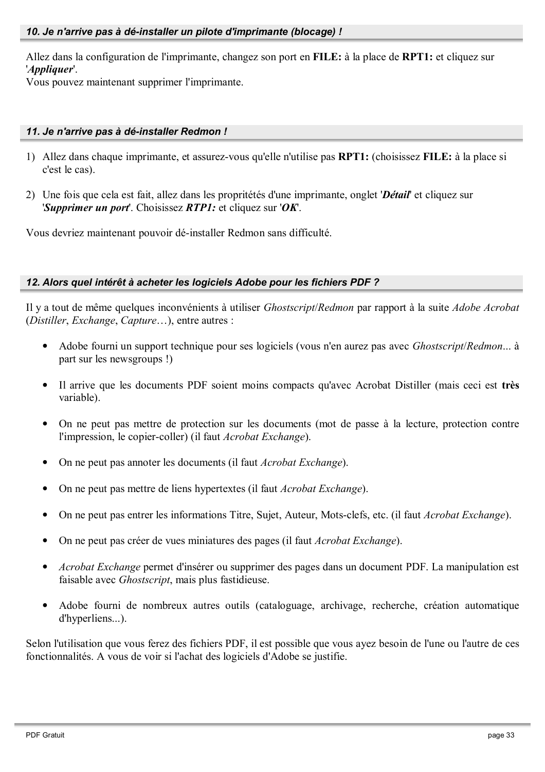Allez dans la configuration de l'imprimante, changez son port en FILE: à la place de RPT1: et cliquez sur 'Appliquer'.

Vous pouvez maintenant supprimer l'imprimante.

#### 11. Je n'arrive pas à dé-installer Redmon !

- 1) Allez dans chaque imprimante, et assurez-vous qu'elle n'utilise pas RPT1: (choisissez FILE: à la place si c'est le cas).
- 2) Une fois que cela est fait, allez dans les propritétés d'une imprimante, onglet 'Détail' et cliquez sur 'Supprimer un port'. Choisissez  $RTP1$ : et cliquez sur 'OK'.

Vous devriez maintenant pouvoir dé-installer Redmon sans difficulté.

#### 12. Alors quel intérêt à acheter les logiciels Adobe pour les fichiers PDF?

Il y a tout de même quelques inconvénients à utiliser *Ghostscript*/Redmon par rapport à la suite *Adobe Acrobat* (Distiller, Exchange, Capture...), entre autres :

- Adobe fourni un support technique pour ses logiciels (vous n'en aurez pas avec *Ghostscript/Redmon...* à part sur les newsgroups !)
- Il arrive que les documents PDF soient moins compacts qu'avec Acrobat Distiller (mais ceci est très variable).
- On ne peut pas mettre de protection sur les documents (mot de passe à la lecture, protection contre l'impression, le copier-coller) (il faut Acrobat Exchange).
- On ne peut pas annoter les documents (il faut Acrobat Exchange).
- On ne peut pas mettre de liens hypertextes (il faut *Acrobat Exchange*).
- On ne peut pas entrer les informations Titre, Sujet, Auteur, Mots-clefs, etc. (il faut *Acrobat Exchange*).
- On ne peut pas créer de vues miniatures des pages (il faut *Acrobat Exchange*).
- *Acrobat Exchange* permet d'insérer ou supprimer des pages dans un document PDF. La manipulation est faisable avec *Ghostscript*, mais plus fastidieuse.
- Adobe fourni de nombreux autres outils (cataloguage, archivage, recherche, création automatique d'hyperliens...).

Selon l'utilisation que vous ferez des fichiers PDF, il est possible que vous ayez besoin de l'une ou l'autre de ces fonctionnalités. A vous de voir si l'achat des logiciels d'Adobe se justifie.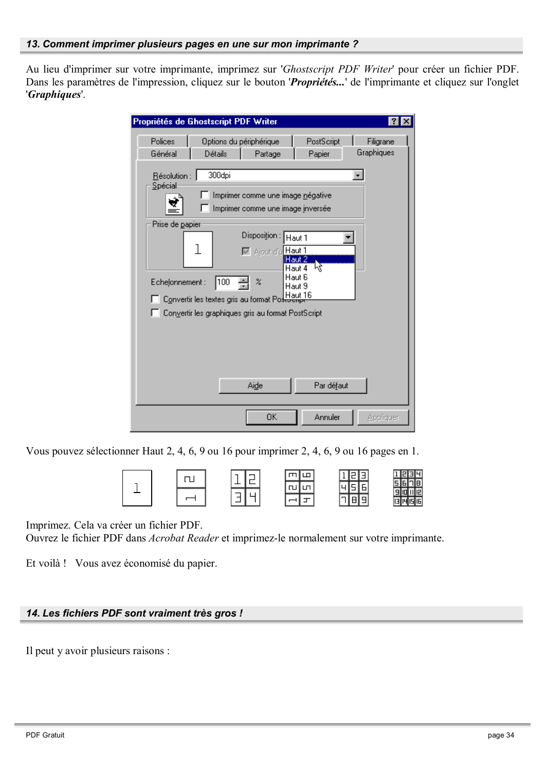Au lieu d'imprimer sur votre imprimante, imprimez sur 'Ghostscript PDF Writer' pour créer un fichier PDF. Dans les paramètres de l'impression, cliquez sur le bouton '*Propriétés...*' de l'imprimante et cliquez sur l'onglet 'Graphiques'.

| Polices<br>Options du périphérique<br>PostScript<br>Filigrane<br>Graphiques<br>Général<br>Détails<br>Papier<br>Partage<br>300dpi<br>Résolution :<br>Spécial<br>Imprimer comme une image négative<br>Imprimer comme une image inversée<br>Prise de papier<br>Disposition:<br>Haut 1<br>l<br>M Ajout d'u Haut 1<br>iHaut 2<br>μž<br>Haut 4<br>Haut 6<br>100<br>z<br>Echelonnement:<br>Haut 9<br>Convertir les textes gris au format PostJeupe<br>Convertir les graphiques gris au format PostScript<br>Par défaut<br>Aide | Propriétés de Ghostscript PDF Writer<br> ? |
|-------------------------------------------------------------------------------------------------------------------------------------------------------------------------------------------------------------------------------------------------------------------------------------------------------------------------------------------------------------------------------------------------------------------------------------------------------------------------------------------------------------------------|--------------------------------------------|
|                                                                                                                                                                                                                                                                                                                                                                                                                                                                                                                         |                                            |
|                                                                                                                                                                                                                                                                                                                                                                                                                                                                                                                         |                                            |
|                                                                                                                                                                                                                                                                                                                                                                                                                                                                                                                         |                                            |
| ΟK<br>Annuler<br>Appliquer                                                                                                                                                                                                                                                                                                                                                                                                                                                                                              |                                            |

Vous pouvez sélectionner Haut 2, 4, 6, 9 ou 16 pour imprimer 2, 4, 6, 9 ou 16 pages en 1.



Imprimez. Cela va créer un fichier PDF.

Ouvrez le fichier PDF dans Acrobat Reader et imprimez-le normalement sur votre imprimante.

Et voilà ! Vous avez économisé du papier.

#### 14. Les fichiers PDF sont vraiment très gros !

Il peut y avoir plusieurs raisons :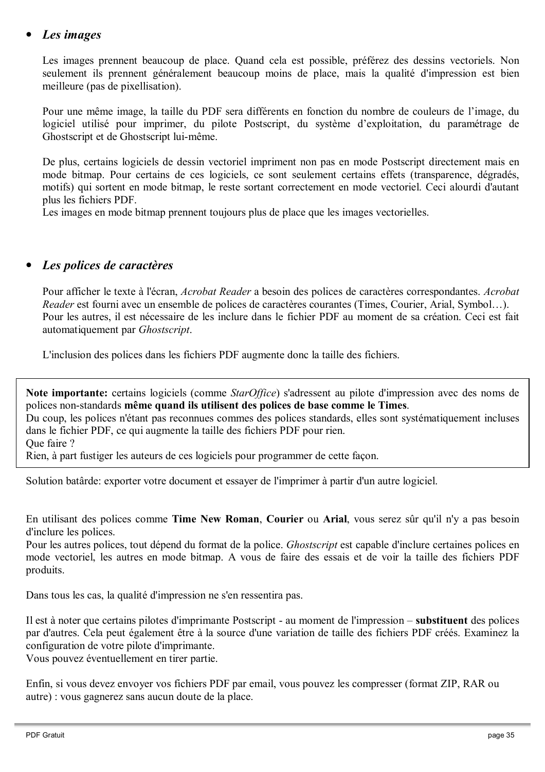#### Les images

Les images prennent beaucoup de place. Quand cela est possible, préférez des dessins vectoriels. Non seulement ils prennent généralement beaucoup moins de place, mais la qualité d'impression est bien meilleure (pas de pixellisation).

Pour une même image, la taille du PDF sera différents en fonction du nombre de couleurs de l'image, du logiciel utilisé pour imprimer, du pilote Postscript, du système d'exploitation, du paramétrage de Ghostscript et de Ghostscript lui-même.

De plus, certains logiciels de dessin vectoriel impriment non pas en mode Postscript directement mais en mode bitmap. Pour certains de ces logiciels, ce sont seulement certains effets (transparence, dégradés, motifs) qui sortent en mode bitmap, le reste sortant correctement en mode vectoriel. Ceci alourdi d'autant plus les fichiers PDF.

Les images en mode bitmap prennent toujours plus de place que les images vectorielles.

#### Les polices de caractères

Pour afficher le texte à l'écran, Acrobat Reader a besoin des polices de caractères correspondantes. Acrobat Reader est fourni avec un ensemble de polices de caractères courantes (Times, Courier, Arial, Symbol...). Pour les autres, il est nécessaire de les inclure dans le fichier PDF au moment de sa création. Ceci est fait automatiquement par Ghostscript.

L'inclusion des polices dans les fichiers PDF augmente donc la taille des fichiers.

Note importante: certains logiciels (comme StarOffice) s'adressent au pilote d'impression avec des noms de polices non-standards même quand ils utilisent des polices de base comme le Times.

Du coup, les polices n'étant pas reconnues commes des polices standards, elles sont systématiquement incluses dans le fichier PDF, ce qui augmente la taille des fichiers PDF pour rien.

Que faire ?

Rien, à part fustiger les auteurs de ces logiciels pour programmer de cette façon.

Solution batârde: exporter votre document et essayer de l'imprimer à partir d'un autre logiciel.

En utilisant des polices comme Time New Roman, Courier ou Arial, vous serez sûr qu'il n'y a pas besoin d'inclure les polices.

Pour les autres polices, tout dépend du format de la police. *Ghostscript* est capable d'inclure certaines polices en mode vectoriel, les autres en mode bitmap. A vous de faire des essais et de voir la taille des fichiers PDF produits.

Dans tous les cas, la qualité d'impression ne s'en ressentira pas.

Il est à noter que certains pilotes d'imprimante Postscript - au moment de l'impression – substituent des polices par d'autres. Cela peut également être à la source d'une variation de taille des fichiers PDF créés. Examinez la configuration de votre pilote d'imprimante.

Vous pouvez éventuellement en tirer partie.

Enfin, si vous devez envoyer vos fichiers PDF par email, vous pouvez les compresser (format ZIP, RAR ou autre) : vous gagnerez sans aucun doute de la place.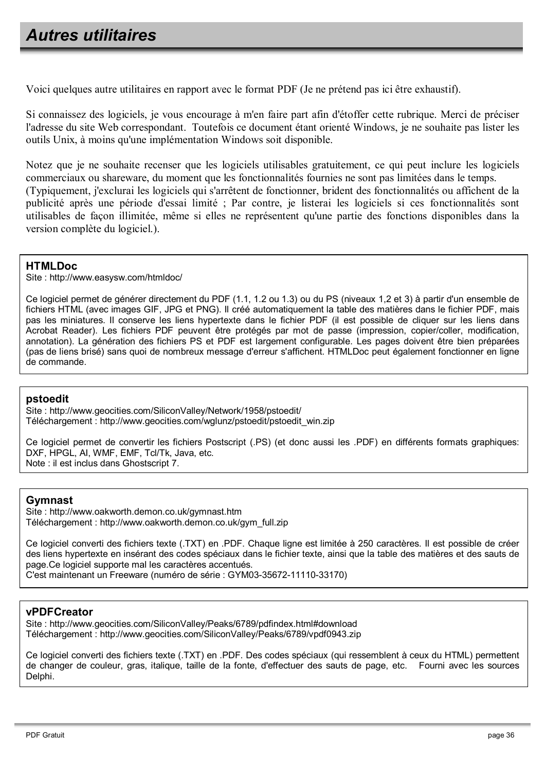## **Autres utilitaires**

Voici quelques autre utilitaires en rapport avec le format PDF (Je ne prétend pas ici être exhaustif).

Si connaissez des logiciels, je vous encourage à m'en faire part afin d'étoffer cette rubrique. Merci de préciser l'adresse du site Web correspondant. Toutefois ce document étant orienté Windows, je ne souhaite pas lister les outils Unix, à moins qu'une implémentation Windows soit disponible.

Notez que je ne souhaite recenser que les logiciels utilisables gratuitement, ce qui peut inclure les logiciels commerciaux ou shareware, du moment que les fonctionnalités fournies ne sont pas limitées dans le temps. (Typiquement, j'exclurai les logiciels qui s'arrêtent de fonctionner, brident des fonctionnalités ou affichent de la publicité après une période d'essai limité ; Par contre, je listerai les logiciels si ces fonctionnalités sont utilisables de facon illimitée, même si elles ne représentent qu'une partie des fonctions disponibles dans la version complète du logiciel.).

#### **HTMLDoc**

Site: http://www.easvsw.com/htmldoc/

Ce logiciel permet de générer directement du PDF (1.1, 1.2 ou 1.3) ou du PS (niveaux 1.2 et 3) à partir d'un ensemble de fichiers HTML (avec images GIF, JPG et PNG). Il créé automatiquement la table des matières dans le fichier PDF, mais pas les miniatures. Il conserve les liens hypertexte dans le fichier PDF (il est possible de cliquer sur les liens dans Acrobat Reader). Les fichiers PDF peuvent être protégés par mot de passe (impression, copier/coller, modification, annotation). La génération des fichiers PS et PDF est largement configurable. Les pages doivent être bien préparées (pas de liens brisé) sans quoi de nombreux message d'erreur s'affichent. HTMLDoc peut également fonctionner en ligne de commande.

#### pstoedit

Site: http://www.geocities.com/SiliconValley/Network/1958/pstoedit/ Téléchargement : http://www.geocities.com/wglunz/pstoedit/pstoedit win.zip

Ce logiciel permet de convertir les fichiers Postscript (.PS) (et donc aussi les .PDF) en différents formats graphiques: DXF, HPGL, AI, WMF, EMF, Tcl/Tk, Java, etc. Note : il est inclus dans Ghostscript 7.

#### **Gymnast**

Site: http://www.oakworth.demon.co.uk/gymnast.htm Téléchargement : http://www.oakworth.demon.co.uk/gym\_full.zip

Ce logiciel converti des fichiers texte (.TXT) en .PDF. Chaque ligne est limitée à 250 caractères. Il est possible de créer des liens hypertexte en insérant des codes spéciaux dans le fichier texte, ainsi que la table des matières et des sauts de page.Ce logiciel supporte mal les caractères accentués. C'est maintenant un Freeware (numéro de série : GYM03-35672-11110-33170)

#### **vPDFCreator**

Site: http://www.geocities.com/SiliconValley/Peaks/6789/pdfindex.html#download Téléchargement : http://www.geocities.com/SiliconValley/Peaks/6789/vpdf0943.zip

Ce logiciel converti des fichiers texte (.TXT) en .PDF. Des codes spéciaux (qui ressemblent à ceux du HTML) permettent de changer de couleur, gras, italique, taille de la fonte, d'effectuer des sauts de page, etc. Fourni avec les sources Delphi.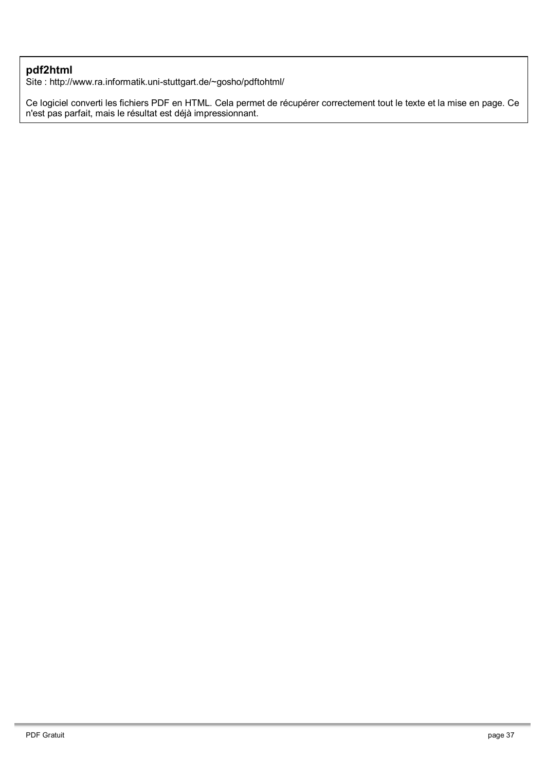#### pdf2html

Site: http://www.ra.informatik.uni-stuttgart.de/~gosho/pdftohtml/

Ce logiciel converti les fichiers PDF en HTML. Cela permet de récupérer correctement tout le texte et la mise en page. Ce<br>n'est pas parfait, mais le résultat est déjà impressionnant.